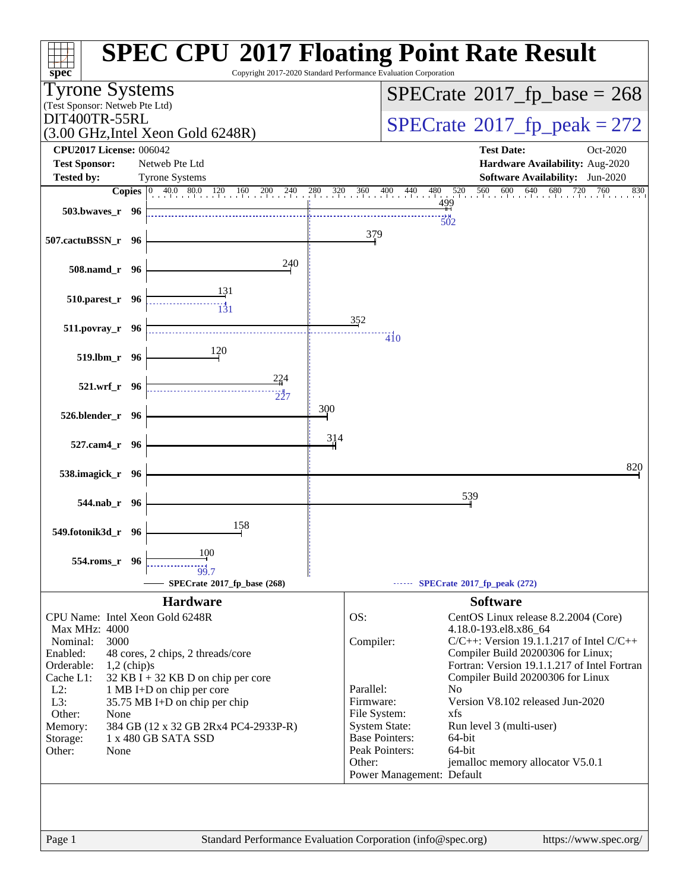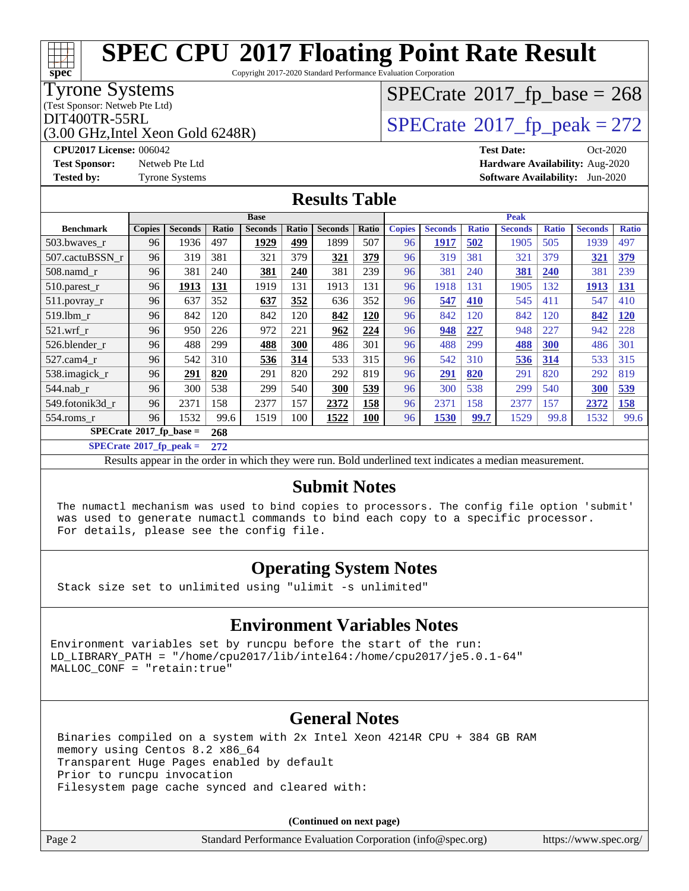Copyright 2017-2020 Standard Performance Evaluation Corporation

### Tyrone Systems

(Test Sponsor: Netweb Pte Ltd)

(3.00 GHz,Intel Xeon Gold 6248R)

# $SPECTate$ <sup>®</sup>[2017\\_fp\\_base =](http://www.spec.org/auto/cpu2017/Docs/result-fields.html#SPECrate2017fpbase) 268

## $\text{DIT400TR-55RL}$ <br>(3.00 GHz Intel Xeon Gold 6248R)  $\text{SPECrate}$  $\text{SPECrate}$  $\text{SPECrate}$ <sup>®</sup>[2017\\_fp\\_peak = 2](http://www.spec.org/auto/cpu2017/Docs/result-fields.html#SPECrate2017fppeak)72

**[CPU2017 License:](http://www.spec.org/auto/cpu2017/Docs/result-fields.html#CPU2017License)** 006042 **[Test Date:](http://www.spec.org/auto/cpu2017/Docs/result-fields.html#TestDate)** Oct-2020 **[Test Sponsor:](http://www.spec.org/auto/cpu2017/Docs/result-fields.html#TestSponsor)** Netweb Pte Ltd **[Hardware Availability:](http://www.spec.org/auto/cpu2017/Docs/result-fields.html#HardwareAvailability)** Aug-2020 **[Tested by:](http://www.spec.org/auto/cpu2017/Docs/result-fields.html#Testedby)** Tyrone Systems **[Software Availability:](http://www.spec.org/auto/cpu2017/Docs/result-fields.html#SoftwareAvailability)** Jun-2020

### **[Results Table](http://www.spec.org/auto/cpu2017/Docs/result-fields.html#ResultsTable)**

|                                         | <b>Base</b>   |                |       |                |              | <b>Peak</b>    |            |               |                |              |                |              |                |              |
|-----------------------------------------|---------------|----------------|-------|----------------|--------------|----------------|------------|---------------|----------------|--------------|----------------|--------------|----------------|--------------|
| <b>Benchmark</b>                        | <b>Copies</b> | <b>Seconds</b> | Ratio | <b>Seconds</b> | <b>Ratio</b> | <b>Seconds</b> | Ratio      | <b>Copies</b> | <b>Seconds</b> | <b>Ratio</b> | <b>Seconds</b> | <b>Ratio</b> | <b>Seconds</b> | <b>Ratio</b> |
| 503.bwaves_r                            | 96            | 1936           | 497   | 1929           | 499          | 1899           | 507        | 96            | 1917           | 502          | 1905           | 505          | 1939           | 497          |
| 507.cactuBSSN r                         | 96            | 319            | 381   | 321            | 379          | 321            | 379        | 96            | 319            | 381          | 321            | 379          | 321            | <u>379</u>   |
| $508$ .namd $r$                         | 96            | 381            | 240   | 381            | 240          | 381            | 239        | 96            | 381            | 240          | 381            | 240          | 381            | 239          |
| $510.parest_r$                          | 96            | 1913           | 131   | 1919           | 131          | 1913           | 131        | 96            | 1918           | 131          | 1905           | 132          | 1913           | <u>131</u>   |
| 511.povray_r                            | 96            | 637            | 352   | 637            | 352          | 636            | 352        | 96            | 547            | 410          | 545            | 411          | 547            | 410          |
| 519.lbm r                               | 96            | 842            | 120   | 842            | 120          | 842            | <u>120</u> | 96            | 842            | 120          | 842            | 120          | 842            | <u>120</u>   |
| $521$ .wrf r                            | 96            | 950            | 226   | 972            | 221          | 962            | 224        | 96            | 948            | 227          | 948            | 227          | 942            | 228          |
| 526.blender r                           | 96            | 488            | 299   | 488            | 300          | 486            | 301        | 96            | 488            | 299          | 488            | 300          | 486            | 301          |
| $527.cam4_r$                            | 96            | 542            | 310   | 536            | 314          | 533            | 315        | 96            | 542            | 310          | 536            | 314          | 533            | 315          |
| 538.imagick_r                           | 96            | 291            | 820   | 291            | 820          | 292            | 819        | 96            | <u>291</u>     | 820          | 291            | 820          | 292            | 819          |
| 544.nab r                               | 96            | 300            | 538   | 299            | 540          | 300            | 539        | 96            | 300            | 538          | 299            | 540          | 300            | 539          |
| 549.fotonik3d r                         | 96            | 2371           | 158   | 2377           | 157          | 2372           | 158        | 96            | 2371           | 158          | 2377           | 157          | 2372           | 158          |
| $554$ .roms_r                           | 96            | 1532           | 99.6  | 1519           | 100          | 1522           | 100        | 96            | 1530           | 99.7         | 1529           | 99.8         | 1532           | 99.6         |
| $SPECrate^{\circ}2017$ fp base =<br>268 |               |                |       |                |              |                |            |               |                |              |                |              |                |              |

**[SPECrate](http://www.spec.org/auto/cpu2017/Docs/result-fields.html#SPECrate2017fppeak)[2017\\_fp\\_peak =](http://www.spec.org/auto/cpu2017/Docs/result-fields.html#SPECrate2017fppeak) 272**

Results appear in the [order in which they were run.](http://www.spec.org/auto/cpu2017/Docs/result-fields.html#RunOrder) Bold underlined text [indicates a median measurement.](http://www.spec.org/auto/cpu2017/Docs/result-fields.html#Median)

### **[Submit Notes](http://www.spec.org/auto/cpu2017/Docs/result-fields.html#SubmitNotes)**

 The numactl mechanism was used to bind copies to processors. The config file option 'submit' was used to generate numactl commands to bind each copy to a specific processor. For details, please see the config file.

### **[Operating System Notes](http://www.spec.org/auto/cpu2017/Docs/result-fields.html#OperatingSystemNotes)**

Stack size set to unlimited using "ulimit -s unlimited"

### **[Environment Variables Notes](http://www.spec.org/auto/cpu2017/Docs/result-fields.html#EnvironmentVariablesNotes)**

Environment variables set by runcpu before the start of the run: LD\_LIBRARY\_PATH = "/home/cpu2017/lib/intel64:/home/cpu2017/je5.0.1-64" MALLOC\_CONF = "retain:true"

### **[General Notes](http://www.spec.org/auto/cpu2017/Docs/result-fields.html#GeneralNotes)**

 Binaries compiled on a system with 2x Intel Xeon 4214R CPU + 384 GB RAM memory using Centos 8.2 x86\_64 Transparent Huge Pages enabled by default Prior to runcpu invocation Filesystem page cache synced and cleared with:

**(Continued on next page)**

| e 2 |  |
|-----|--|
|-----|--|

Page 2 Standard Performance Evaluation Corporation [\(info@spec.org\)](mailto:info@spec.org) <https://www.spec.org/>

# **[spec](http://www.spec.org/)**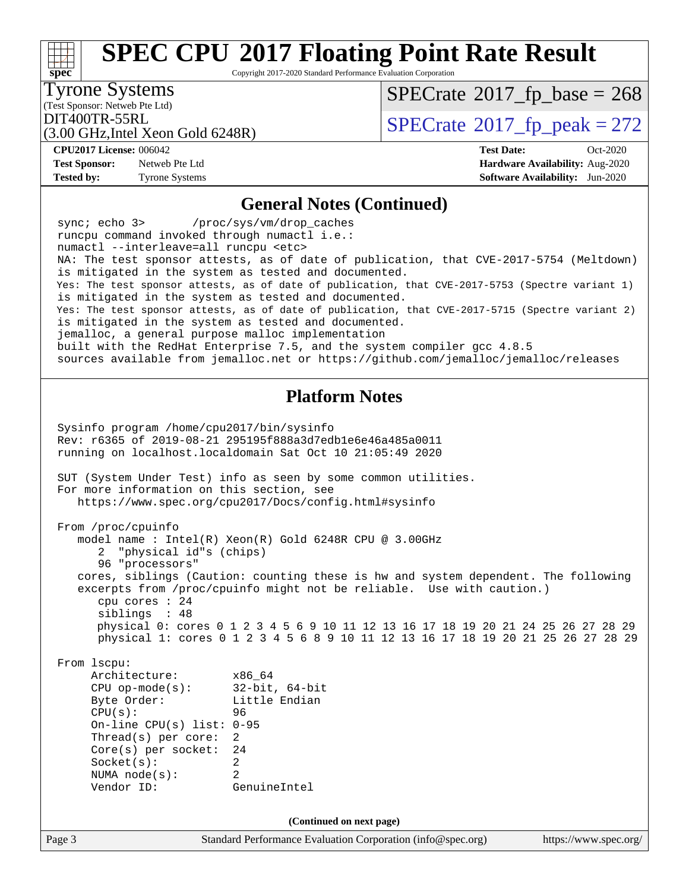Copyright 2017-2020 Standard Performance Evaluation Corporation

### Tyrone Systems

(Test Sponsor: Netweb Pte Ltd)

 $SPECTate$ <sup>®</sup>[2017\\_fp\\_base =](http://www.spec.org/auto/cpu2017/Docs/result-fields.html#SPECrate2017fpbase) 268

(3.00 GHz,Intel Xeon Gold 6248R)

 $\text{DIT400TR-55RL}$ <br>(3.00 GHz Intel Xeon Gold 6248R)  $\text{SPECrate}$  $\text{SPECrate}$  $\text{SPECrate}$ <sup>®</sup>[2017\\_fp\\_peak = 2](http://www.spec.org/auto/cpu2017/Docs/result-fields.html#SPECrate2017fppeak)72

**[CPU2017 License:](http://www.spec.org/auto/cpu2017/Docs/result-fields.html#CPU2017License)** 006042 **[Test Date:](http://www.spec.org/auto/cpu2017/Docs/result-fields.html#TestDate)** Oct-2020

**[Test Sponsor:](http://www.spec.org/auto/cpu2017/Docs/result-fields.html#TestSponsor)** Netweb Pte Ltd **[Hardware Availability:](http://www.spec.org/auto/cpu2017/Docs/result-fields.html#HardwareAvailability)** Aug-2020 **[Tested by:](http://www.spec.org/auto/cpu2017/Docs/result-fields.html#Testedby)** Tyrone Systems **[Software Availability:](http://www.spec.org/auto/cpu2017/Docs/result-fields.html#SoftwareAvailability)** Jun-2020

### **[General Notes \(Continued\)](http://www.spec.org/auto/cpu2017/Docs/result-fields.html#GeneralNotes)**

 sync; echo 3> /proc/sys/vm/drop\_caches runcpu command invoked through numactl i.e.: numactl --interleave=all runcpu <etc> NA: The test sponsor attests, as of date of publication, that CVE-2017-5754 (Meltdown) is mitigated in the system as tested and documented. Yes: The test sponsor attests, as of date of publication, that CVE-2017-5753 (Spectre variant 1) is mitigated in the system as tested and documented. Yes: The test sponsor attests, as of date of publication, that CVE-2017-5715 (Spectre variant 2) is mitigated in the system as tested and documented. jemalloc, a general purpose malloc implementation built with the RedHat Enterprise 7.5, and the system compiler gcc 4.8.5 sources available from jemalloc.net or<https://github.com/jemalloc/jemalloc/releases>

### **[Platform Notes](http://www.spec.org/auto/cpu2017/Docs/result-fields.html#PlatformNotes)**

Page 3 Standard Performance Evaluation Corporation [\(info@spec.org\)](mailto:info@spec.org) <https://www.spec.org/> Sysinfo program /home/cpu2017/bin/sysinfo Rev: r6365 of 2019-08-21 295195f888a3d7edb1e6e46a485a0011 running on localhost.localdomain Sat Oct 10 21:05:49 2020 SUT (System Under Test) info as seen by some common utilities. For more information on this section, see <https://www.spec.org/cpu2017/Docs/config.html#sysinfo> From /proc/cpuinfo model name : Intel(R) Xeon(R) Gold 6248R CPU @ 3.00GHz 2 "physical id"s (chips) 96 "processors" cores, siblings (Caution: counting these is hw and system dependent. The following excerpts from /proc/cpuinfo might not be reliable. Use with caution.) cpu cores : 24 siblings : 48 physical 0: cores 0 1 2 3 4 5 6 9 10 11 12 13 16 17 18 19 20 21 24 25 26 27 28 29 physical 1: cores 0 1 2 3 4 5 6 8 9 10 11 12 13 16 17 18 19 20 21 25 26 27 28 29 From lscpu: Architecture: x86\_64 CPU op-mode(s): 32-bit, 64-bit Byte Order: Little Endian CPU(s): 96 On-line CPU(s) list: 0-95 Thread(s) per core: 2 Core(s) per socket: 24 Socket(s): 2 NUMA node(s): 2 Vendor ID: GenuineIntel **(Continued on next page)**

**[spec](http://www.spec.org/)**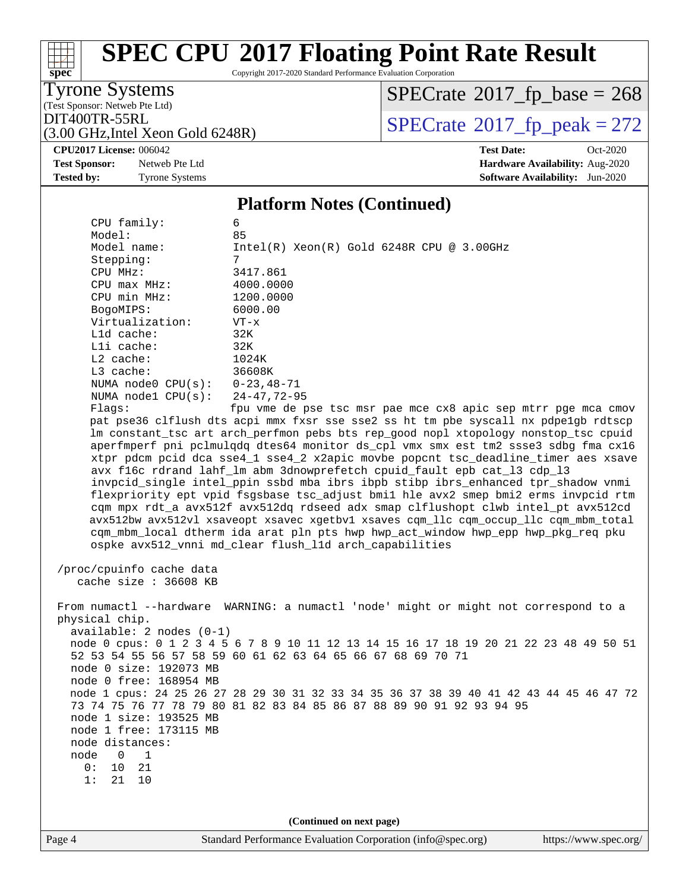Copyright 2017-2020 Standard Performance Evaluation Corporation

Tyrone Systems

**[spec](http://www.spec.org/)**

(Test Sponsor: Netweb Pte Ltd)

 $SPECTate$ <sup>®</sup>[2017\\_fp\\_base =](http://www.spec.org/auto/cpu2017/Docs/result-fields.html#SPECrate2017fpbase) 268

(3.00 GHz,Intel Xeon Gold 6248R)

 $DIT400TR-55RL$ <br>(3.00 GHz Intel Xeon Gold 6248R) [SPECrate](http://www.spec.org/auto/cpu2017/Docs/result-fields.html#SPECrate2017fppeak)®[2017\\_fp\\_peak = 2](http://www.spec.org/auto/cpu2017/Docs/result-fields.html#SPECrate2017fppeak)72

**[CPU2017 License:](http://www.spec.org/auto/cpu2017/Docs/result-fields.html#CPU2017License)** 006042 **[Test Date:](http://www.spec.org/auto/cpu2017/Docs/result-fields.html#TestDate)** Oct-2020 **[Test Sponsor:](http://www.spec.org/auto/cpu2017/Docs/result-fields.html#TestSponsor)** Netweb Pte Ltd **[Hardware Availability:](http://www.spec.org/auto/cpu2017/Docs/result-fields.html#HardwareAvailability)** Aug-2020 **[Tested by:](http://www.spec.org/auto/cpu2017/Docs/result-fields.html#Testedby)** Tyrone Systems **[Software Availability:](http://www.spec.org/auto/cpu2017/Docs/result-fields.html#SoftwareAvailability)** Jun-2020

#### **[Platform Notes \(Continued\)](http://www.spec.org/auto/cpu2017/Docs/result-fields.html#PlatformNotes)**

 CPU family: 6 Model: 85 Model name: Intel(R) Xeon(R) Gold 6248R CPU @ 3.00GHz Stepping: 7 CPU MHz: 3417.861 CPU max MHz: 4000.0000 CPU min MHz: 1200.0000 BogoMIPS: 6000.00 Virtualization: VT-x L1d cache: 32K L1i cache: 32K L2 cache: 1024K L3 cache: 36608K NUMA node0 CPU(s): 0-23,48-71 NUMA node1 CPU(s): 24-47,72-95 Flags: fpu vme de pse tsc msr pae mce cx8 apic sep mtrr pge mca cmov pat pse36 clflush dts acpi mmx fxsr sse sse2 ss ht tm pbe syscall nx pdpe1gb rdtscp lm constant\_tsc art arch\_perfmon pebs bts rep\_good nopl xtopology nonstop\_tsc cpuid aperfmperf pni pclmulqdq dtes64 monitor ds\_cpl vmx smx est tm2 ssse3 sdbg fma cx16 xtpr pdcm pcid dca sse4\_1 sse4\_2 x2apic movbe popcnt tsc\_deadline\_timer aes xsave avx f16c rdrand lahf\_lm abm 3dnowprefetch cpuid\_fault epb cat\_l3 cdp\_l3 invpcid\_single intel\_ppin ssbd mba ibrs ibpb stibp ibrs\_enhanced tpr\_shadow vnmi flexpriority ept vpid fsgsbase tsc\_adjust bmi1 hle avx2 smep bmi2 erms invpcid rtm cqm mpx rdt\_a avx512f avx512dq rdseed adx smap clflushopt clwb intel\_pt avx512cd avx512bw avx512vl xsaveopt xsavec xgetbv1 xsaves cqm\_llc cqm\_occup\_llc cqm\_mbm\_total cqm\_mbm\_local dtherm ida arat pln pts hwp hwp\_act\_window hwp\_epp hwp\_pkg\_req pku ospke avx512\_vnni md\_clear flush\_l1d arch\_capabilities /proc/cpuinfo cache data cache size : 36608 KB From numactl --hardware WARNING: a numactl 'node' might or might not correspond to a physical chip. available: 2 nodes (0-1) node 0 cpus: 0 1 2 3 4 5 6 7 8 9 10 11 12 13 14 15 16 17 18 19 20 21 22 23 48 49 50 51 52 53 54 55 56 57 58 59 60 61 62 63 64 65 66 67 68 69 70 71 node 0 size: 192073 MB node 0 free: 168954 MB node 1 cpus: 24 25 26 27 28 29 30 31 32 33 34 35 36 37 38 39 40 41 42 43 44 45 46 47 72 73 74 75 76 77 78 79 80 81 82 83 84 85 86 87 88 89 90 91 92 93 94 95 node 1 size: 193525 MB node 1 free: 173115 MB node distances: node 0 1 0: 10 21 1: 21 10 **(Continued on next page)**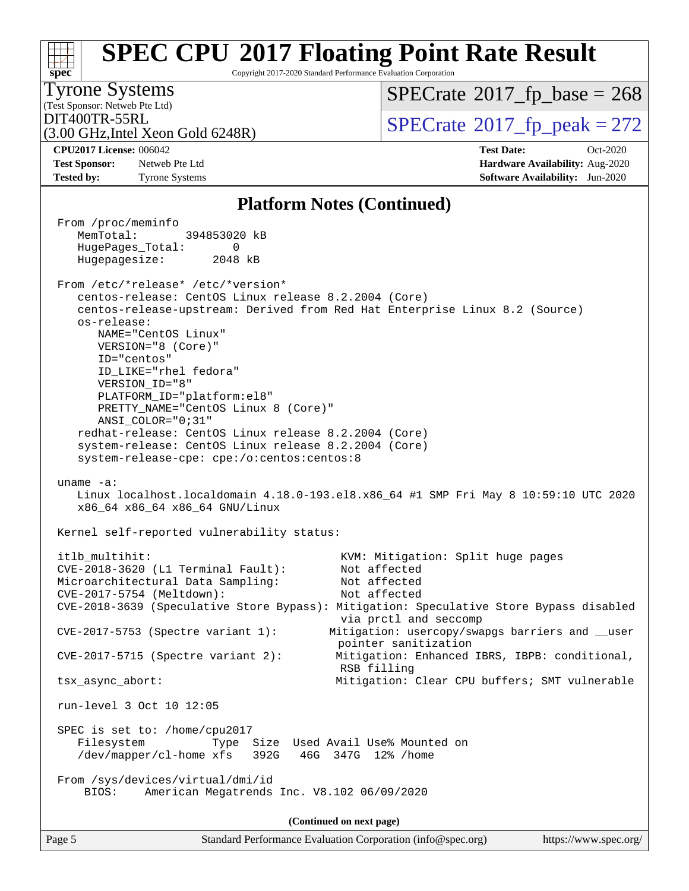#### **[spec](http://www.spec.org/) [SPEC CPU](http://www.spec.org/auto/cpu2017/Docs/result-fields.html#SPECCPU2017FloatingPointRateResult)[2017 Floating Point Rate Result](http://www.spec.org/auto/cpu2017/Docs/result-fields.html#SPECCPU2017FloatingPointRateResult)** Copyright 2017-2020 Standard Performance Evaluation Corporation (Test Sponsor: Netweb Pte Ltd) Tyrone Systems (3.00 GHz,Intel Xeon Gold 6248R)  $\text{DIT400TR-55RL}$ <br>(3.00 GHz Intel Xeon Gold 6248R)  $\text{SPECrate}$  $\text{SPECrate}$  $\text{SPECrate}$ <sup>®</sup>[2017\\_fp\\_peak = 2](http://www.spec.org/auto/cpu2017/Docs/result-fields.html#SPECrate2017fppeak)72  $SPECTate$ <sup>®</sup>[2017\\_fp\\_base =](http://www.spec.org/auto/cpu2017/Docs/result-fields.html#SPECrate2017fpbase) 268 **[CPU2017 License:](http://www.spec.org/auto/cpu2017/Docs/result-fields.html#CPU2017License)** 006042 **[Test Date:](http://www.spec.org/auto/cpu2017/Docs/result-fields.html#TestDate)** Oct-2020 **[Test Sponsor:](http://www.spec.org/auto/cpu2017/Docs/result-fields.html#TestSponsor)** Netweb Pte Ltd **[Hardware Availability:](http://www.spec.org/auto/cpu2017/Docs/result-fields.html#HardwareAvailability)** Aug-2020 **[Tested by:](http://www.spec.org/auto/cpu2017/Docs/result-fields.html#Testedby)** Tyrone Systems **[Software Availability:](http://www.spec.org/auto/cpu2017/Docs/result-fields.html#SoftwareAvailability)** Jun-2020 **[Platform Notes \(Continued\)](http://www.spec.org/auto/cpu2017/Docs/result-fields.html#PlatformNotes)** From /proc/meminfo MemTotal: 394853020 kB HugePages\_Total: 0 Hugepagesize: 2048 kB From /etc/\*release\* /etc/\*version\* centos-release: CentOS Linux release 8.2.2004 (Core) centos-release-upstream: Derived from Red Hat Enterprise Linux 8.2 (Source) os-release: NAME="CentOS Linux" VERSION="8 (Core)" ID="centos" ID\_LIKE="rhel fedora" VERSION\_ID="8" PLATFORM\_ID="platform:el8" PRETTY\_NAME="CentOS Linux 8 (Core)" ANSI\_COLOR="0;31" redhat-release: CentOS Linux release 8.2.2004 (Core) system-release: CentOS Linux release 8.2.2004 (Core) system-release-cpe: cpe:/o:centos:centos:8 uname -a: Linux localhost.localdomain 4.18.0-193.el8.x86\_64 #1 SMP Fri May 8 10:59:10 UTC 2020 x86\_64 x86\_64 x86\_64 GNU/Linux Kernel self-reported vulnerability status: itlb\_multihit: KVM: Mitigation: Split huge pages CVE-2018-3620 (L1 Terminal Fault): Not affected Microarchitectural Data Sampling: Not affected CVE-2017-5754 (Meltdown): Not affected CVE-2018-3639 (Speculative Store Bypass): Mitigation: Speculative Store Bypass disabled via prctl and seccomp CVE-2017-5753 (Spectre variant 1): Mitigation: usercopy/swapgs barriers and \_\_user pointer sanitization CVE-2017-5715 (Spectre variant 2): Mitigation: Enhanced IBRS, IBPB: conditional, RSB filling tsx\_async\_abort: Mitigation: Clear CPU buffers; SMT vulnerable run-level 3 Oct 10 12:05 SPEC is set to: /home/cpu2017 Filesystem Type Size Used Avail Use% Mounted on /dev/mapper/cl-home xfs 392G 46G 347G 12% /home From /sys/devices/virtual/dmi/id BIOS: American Megatrends Inc. V8.102 06/09/2020 **(Continued on next page)**

Page 5 Standard Performance Evaluation Corporation [\(info@spec.org\)](mailto:info@spec.org) <https://www.spec.org/>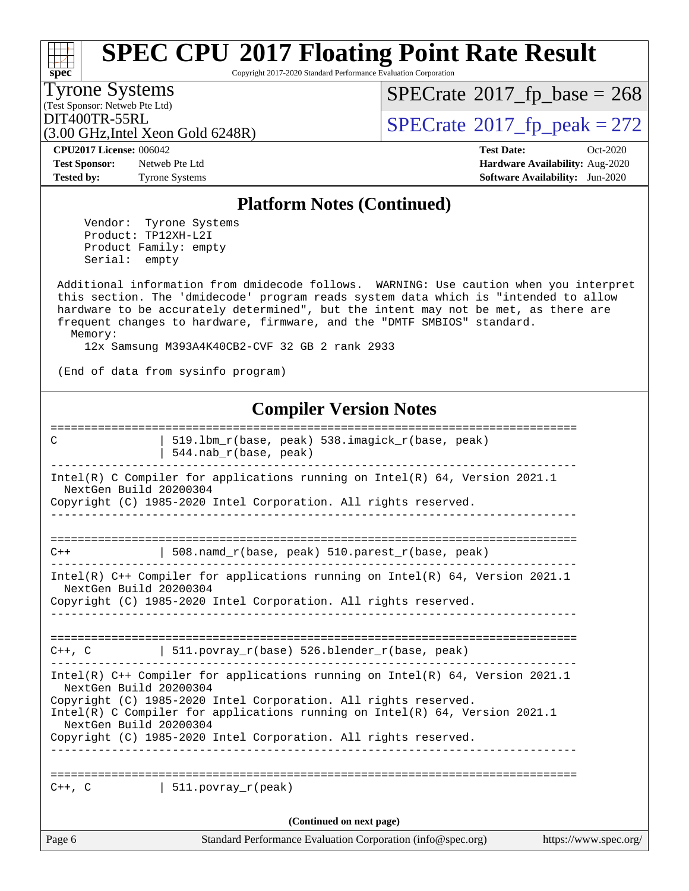Copyright 2017-2020 Standard Performance Evaluation Corporation

(Test Sponsor: Netweb Pte Ltd) Tyrone Systems

**[spec](http://www.spec.org/)**<sup>®</sup>

 $SPECTate$ <sup>®</sup>[2017\\_fp\\_base =](http://www.spec.org/auto/cpu2017/Docs/result-fields.html#SPECrate2017fpbase) 268

(3.00 GHz,Intel Xeon Gold 6248R)

 $DIT400TR-55RL$ <br>(3.00 GHz Intel Xeon Gold 6248R) [SPECrate](http://www.spec.org/auto/cpu2017/Docs/result-fields.html#SPECrate2017fppeak)®[2017\\_fp\\_peak = 2](http://www.spec.org/auto/cpu2017/Docs/result-fields.html#SPECrate2017fppeak)72

**[Test Sponsor:](http://www.spec.org/auto/cpu2017/Docs/result-fields.html#TestSponsor)** Netweb Pte Ltd **[Hardware Availability:](http://www.spec.org/auto/cpu2017/Docs/result-fields.html#HardwareAvailability)** Aug-2020 **[Tested by:](http://www.spec.org/auto/cpu2017/Docs/result-fields.html#Testedby)** Tyrone Systems **[Software Availability:](http://www.spec.org/auto/cpu2017/Docs/result-fields.html#SoftwareAvailability)** Jun-2020

**[CPU2017 License:](http://www.spec.org/auto/cpu2017/Docs/result-fields.html#CPU2017License)** 006042 **[Test Date:](http://www.spec.org/auto/cpu2017/Docs/result-fields.html#TestDate)** Oct-2020

### **[Platform Notes \(Continued\)](http://www.spec.org/auto/cpu2017/Docs/result-fields.html#PlatformNotes)**

 Vendor: Tyrone Systems Product: TP12XH-L2I Product Family: empty Serial: empty

 Additional information from dmidecode follows. WARNING: Use caution when you interpret this section. The 'dmidecode' program reads system data which is "intended to allow hardware to be accurately determined", but the intent may not be met, as there are frequent changes to hardware, firmware, and the "DMTF SMBIOS" standard. Memory:

12x Samsung M393A4K40CB2-CVF 32 GB 2 rank 2933

(End of data from sysinfo program)

### **[Compiler Version Notes](http://www.spec.org/auto/cpu2017/Docs/result-fields.html#CompilerVersionNotes)**

Page 6 Standard Performance Evaluation Corporation [\(info@spec.org\)](mailto:info@spec.org) <https://www.spec.org/> ============================================================================== C | 519.lbm\_r(base, peak) 538.imagick\_r(base, peak) | 544.nab\_r(base, peak) ------------------------------------------------------------------------------ Intel(R) C Compiler for applications running on Intel(R) 64, Version 2021.1 NextGen Build 20200304 Copyright (C) 1985-2020 Intel Corporation. All rights reserved. ------------------------------------------------------------------------------ ============================================================================== C++ | 508.namd\_r(base, peak) 510.parest\_r(base, peak) ------------------------------------------------------------------------------ Intel(R) C++ Compiler for applications running on Intel(R) 64, Version 2021.1 NextGen Build 20200304 Copyright (C) 1985-2020 Intel Corporation. All rights reserved. ------------------------------------------------------------------------------ ==============================================================================  $C++$ ,  $C$  | 511.povray\_r(base) 526.blender\_r(base, peak) ------------------------------------------------------------------------------ Intel(R) C++ Compiler for applications running on Intel(R) 64, Version 2021.1 NextGen Build 20200304 Copyright (C) 1985-2020 Intel Corporation. All rights reserved. Intel(R) C Compiler for applications running on Intel(R) 64, Version 2021.1 NextGen Build 20200304 Copyright (C) 1985-2020 Intel Corporation. All rights reserved. ------------------------------------------------------------------------------ ==============================================================================  $C_{++}$ , C  $|$  511. povray r(peak) **(Continued on next page)**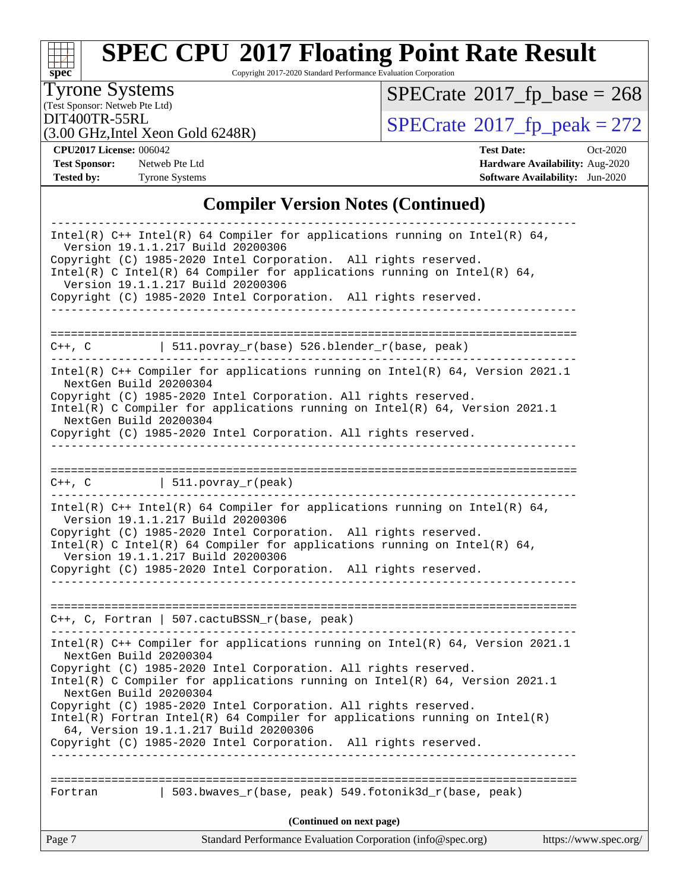# **[spec](http://www.spec.org/)**

# **[SPEC CPU](http://www.spec.org/auto/cpu2017/Docs/result-fields.html#SPECCPU2017FloatingPointRateResult)[2017 Floating Point Rate Result](http://www.spec.org/auto/cpu2017/Docs/result-fields.html#SPECCPU2017FloatingPointRateResult)**

Copyright 2017-2020 Standard Performance Evaluation Corporation

(Test Sponsor: Netweb Pte Ltd) Tyrone Systems

 $SPECTate$ <sup>®</sup>[2017\\_fp\\_base =](http://www.spec.org/auto/cpu2017/Docs/result-fields.html#SPECrate2017fpbase) 268

(3.00 GHz,Intel Xeon Gold 6248R)

DIT400TR-55RL<br>(3.00 GHz Intel Xeon Gold 6248R)  $\text{SPECrate}$  $\text{SPECrate}$  $\text{SPECrate}$ <sup>®</sup>[2017\\_fp\\_peak = 2](http://www.spec.org/auto/cpu2017/Docs/result-fields.html#SPECrate2017fppeak)72

**[CPU2017 License:](http://www.spec.org/auto/cpu2017/Docs/result-fields.html#CPU2017License)** 006042 **[Test Date:](http://www.spec.org/auto/cpu2017/Docs/result-fields.html#TestDate)** Oct-2020 **[Test Sponsor:](http://www.spec.org/auto/cpu2017/Docs/result-fields.html#TestSponsor)** Netweb Pte Ltd **[Hardware Availability:](http://www.spec.org/auto/cpu2017/Docs/result-fields.html#HardwareAvailability)** Aug-2020 **[Tested by:](http://www.spec.org/auto/cpu2017/Docs/result-fields.html#Testedby)** Tyrone Systems **[Software Availability:](http://www.spec.org/auto/cpu2017/Docs/result-fields.html#SoftwareAvailability)** Jun-2020

### **[Compiler Version Notes \(Continued\)](http://www.spec.org/auto/cpu2017/Docs/result-fields.html#CompilerVersionNotes)**

| (Continued on next page)                                                                                                                                                         |  |
|----------------------------------------------------------------------------------------------------------------------------------------------------------------------------------|--|
| 503.bwaves_r(base, peak) 549.fotonik3d_r(base, peak)<br>Fortran                                                                                                                  |  |
|                                                                                                                                                                                  |  |
| 64, Version 19.1.1.217 Build 20200306<br>Copyright (C) 1985-2020 Intel Corporation. All rights reserved.                                                                         |  |
| Copyright (C) 1985-2020 Intel Corporation. All rights reserved.<br>$Intel(R)$ Fortran Intel(R) 64 Compiler for applications running on Intel(R)                                  |  |
| NextGen Build 20200304                                                                                                                                                           |  |
| Copyright (C) 1985-2020 Intel Corporation. All rights reserved.<br>Intel(R) C Compiler for applications running on $Intel(R) 64$ , Version 2021.1                                |  |
| NextGen Build 20200304                                                                                                                                                           |  |
| Intel(R) $C++$ Compiler for applications running on Intel(R) 64, Version 2021.1                                                                                                  |  |
| $C++$ , C, Fortran   507.cactuBSSN_r(base, peak)                                                                                                                                 |  |
| Copyright (C) 1985-2020 Intel Corporation. All rights reserved.                                                                                                                  |  |
| Copyright (C) 1985-2020 Intel Corporation. All rights reserved.<br>Intel(R) C Intel(R) 64 Compiler for applications running on Intel(R) 64,<br>Version 19.1.1.217 Build 20200306 |  |
| Intel(R) C++ Intel(R) 64 Compiler for applications running on Intel(R) 64,<br>Version 19.1.1.217 Build 20200306                                                                  |  |
| $C++$ , $C$   511.povray_r(peak)                                                                                                                                                 |  |
|                                                                                                                                                                                  |  |
| Copyright (C) 1985-2020 Intel Corporation. All rights reserved.                                                                                                                  |  |
| Intel(R) C Compiler for applications running on $Intel(R) 64$ , Version 2021.1<br>NextGen Build 20200304                                                                         |  |
| NextGen Build 20200304<br>Copyright (C) 1985-2020 Intel Corporation. All rights reserved.                                                                                        |  |
| Intel(R) $C++$ Compiler for applications running on Intel(R) 64, Version 2021.1                                                                                                  |  |
| $C++$ , C   511.povray_r(base) 526.blender_r(base, peak)                                                                                                                         |  |
|                                                                                                                                                                                  |  |
| Version 19.1.1.217 Build 20200306<br>Copyright (C) 1985-2020 Intel Corporation. All rights reserved.                                                                             |  |
| Copyright (C) 1985-2020 Intel Corporation. All rights reserved.<br>Intel(R) C Intel(R) 64 Compiler for applications running on Intel(R) 64,                                      |  |
| Version 19.1.1.217 Build 20200306                                                                                                                                                |  |
| Intel(R) $C++$ Intel(R) 64 Compiler for applications running on Intel(R) 64,                                                                                                     |  |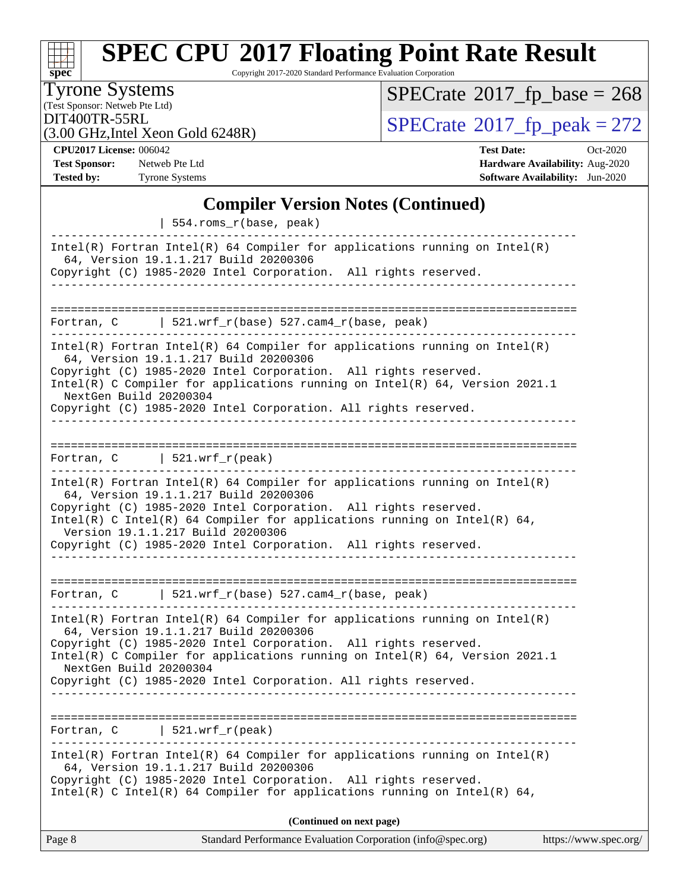# **[spec](http://www.spec.org/)**

# **[SPEC CPU](http://www.spec.org/auto/cpu2017/Docs/result-fields.html#SPECCPU2017FloatingPointRateResult)[2017 Floating Point Rate Result](http://www.spec.org/auto/cpu2017/Docs/result-fields.html#SPECCPU2017FloatingPointRateResult)**

Copyright 2017-2020 Standard Performance Evaluation Corporation

(Test Sponsor: Netweb Pte Ltd) Tyrone Systems

 $SPECTate$ <sup>®</sup>[2017\\_fp\\_base =](http://www.spec.org/auto/cpu2017/Docs/result-fields.html#SPECrate2017fpbase) 268

(3.00 GHz,Intel Xeon Gold 6248R)

DIT400TR-55RL<br>(3.00 GHz Intel Xeon Gold 6248R)  $\text{SPECrate}$  $\text{SPECrate}$  $\text{SPECrate}$ <sup>®</sup>[2017\\_fp\\_peak = 2](http://www.spec.org/auto/cpu2017/Docs/result-fields.html#SPECrate2017fppeak)72

**[CPU2017 License:](http://www.spec.org/auto/cpu2017/Docs/result-fields.html#CPU2017License)** 006042 **[Test Date:](http://www.spec.org/auto/cpu2017/Docs/result-fields.html#TestDate)** Oct-2020 **[Test Sponsor:](http://www.spec.org/auto/cpu2017/Docs/result-fields.html#TestSponsor)** Netweb Pte Ltd **[Hardware Availability:](http://www.spec.org/auto/cpu2017/Docs/result-fields.html#HardwareAvailability)** Aug-2020 **[Tested by:](http://www.spec.org/auto/cpu2017/Docs/result-fields.html#Testedby)** Tyrone Systems **[Software Availability:](http://www.spec.org/auto/cpu2017/Docs/result-fields.html#SoftwareAvailability)** Jun-2020

### **[Compiler Version Notes \(Continued\)](http://www.spec.org/auto/cpu2017/Docs/result-fields.html#CompilerVersionNotes)**

| Standard Performance Evaluation Corporation (info@spec.org)<br>https://www.spec.org/<br>Page 8                                                                                                                                                                                                                                                                                                                  |  |
|-----------------------------------------------------------------------------------------------------------------------------------------------------------------------------------------------------------------------------------------------------------------------------------------------------------------------------------------------------------------------------------------------------------------|--|
| (Continued on next page)                                                                                                                                                                                                                                                                                                                                                                                        |  |
| $Intel(R)$ Fortran Intel(R) 64 Compiler for applications running on Intel(R)<br>64, Version 19.1.1.217 Build 20200306<br>Copyright (C) 1985-2020 Intel Corporation. All rights reserved.<br>Intel(R) C Intel(R) 64 Compiler for applications running on Intel(R) 64,                                                                                                                                            |  |
| 521.wrf_r(peak)<br>Fortran, C                                                                                                                                                                                                                                                                                                                                                                                   |  |
| $Intel(R)$ Fortran Intel(R) 64 Compiler for applications running on Intel(R)<br>64, Version 19.1.1.217 Build 20200306<br>Copyright (C) 1985-2020 Intel Corporation. All rights reserved.<br>Intel(R) C Compiler for applications running on $Intel(R) 64$ , Version 2021.1<br>NextGen Build 20200304<br>Copyright (C) 1985-2020 Intel Corporation. All rights reserved.                                         |  |
| Fortran, $C$   521.wrf_r(base) 527.cam4_r(base, peak)                                                                                                                                                                                                                                                                                                                                                           |  |
| $Intel(R)$ Fortran Intel(R) 64 Compiler for applications running on Intel(R)<br>64, Version 19.1.1.217 Build 20200306<br>Copyright (C) 1985-2020 Intel Corporation. All rights reserved.<br>Intel(R) C Intel(R) 64 Compiler for applications running on Intel(R) 64,<br>Version 19.1.1.217 Build 20200306<br>Copyright (C) 1985-2020 Intel Corporation. All rights reserved.<br>------------------------------- |  |
| Fortran, $C$   521.wrf_r(peak)                                                                                                                                                                                                                                                                                                                                                                                  |  |
| Intel(R) Fortran Intel(R) 64 Compiler for applications running on Intel(R)<br>64, Version 19.1.1.217 Build 20200306<br>Copyright (C) 1985-2020 Intel Corporation. All rights reserved.<br>Intel(R) C Compiler for applications running on $Intel(R) 64$ , Version 2021.1<br>NextGen Build 20200304<br>Copyright (C) 1985-2020 Intel Corporation. All rights reserved.                                           |  |
| Fortran, $C$   521.wrf_r(base) 527.cam4_r(base, peak)                                                                                                                                                                                                                                                                                                                                                           |  |
| $Intel(R)$ Fortran Intel(R) 64 Compiler for applications running on Intel(R)<br>64, Version 19.1.1.217 Build 20200306<br>Copyright (C) 1985-2020 Intel Corporation. All rights reserved.                                                                                                                                                                                                                        |  |
| 554.roms_r(base, peak)                                                                                                                                                                                                                                                                                                                                                                                          |  |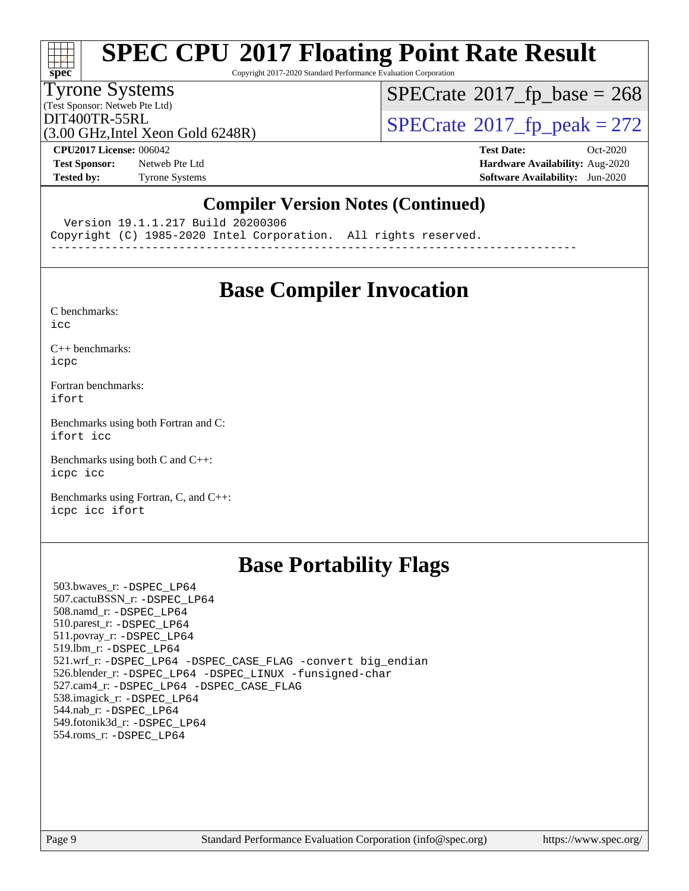

Copyright 2017-2020 Standard Performance Evaluation Corporation

#### Tyrone Systems

(Test Sponsor: Netweb Pte Ltd)

 $SPECTate$ <sup>®</sup>[2017\\_fp\\_base =](http://www.spec.org/auto/cpu2017/Docs/result-fields.html#SPECrate2017fpbase) 268

(3.00 GHz,Intel Xeon Gold 6248R)

 $DIT400TR-55RL$ <br>(3.00 GHz Intel Xeon Gold 6248R) [SPECrate](http://www.spec.org/auto/cpu2017/Docs/result-fields.html#SPECrate2017fppeak)®[2017\\_fp\\_peak = 2](http://www.spec.org/auto/cpu2017/Docs/result-fields.html#SPECrate2017fppeak)72

**[Test Sponsor:](http://www.spec.org/auto/cpu2017/Docs/result-fields.html#TestSponsor)** Netweb Pte Ltd **[Hardware Availability:](http://www.spec.org/auto/cpu2017/Docs/result-fields.html#HardwareAvailability)** Aug-2020

**[CPU2017 License:](http://www.spec.org/auto/cpu2017/Docs/result-fields.html#CPU2017License)** 006042 **[Test Date:](http://www.spec.org/auto/cpu2017/Docs/result-fields.html#TestDate)** Oct-2020 **[Tested by:](http://www.spec.org/auto/cpu2017/Docs/result-fields.html#Testedby)** Tyrone Systems **[Software Availability:](http://www.spec.org/auto/cpu2017/Docs/result-fields.html#SoftwareAvailability)** Jun-2020

### **[Compiler Version Notes \(Continued\)](http://www.spec.org/auto/cpu2017/Docs/result-fields.html#CompilerVersionNotes)**

Version 19.1.1.217 Build 20200306

Copyright (C) 1985-2020 Intel Corporation. All rights reserved.

------------------------------------------------------------------------------

### **[Base Compiler Invocation](http://www.spec.org/auto/cpu2017/Docs/result-fields.html#BaseCompilerInvocation)**

[C benchmarks](http://www.spec.org/auto/cpu2017/Docs/result-fields.html#Cbenchmarks):

[icc](http://www.spec.org/cpu2017/results/res2020q4/cpu2017-20201012-24148.flags.html#user_CCbase_intel_icc_66fc1ee009f7361af1fbd72ca7dcefbb700085f36577c54f309893dd4ec40d12360134090235512931783d35fd58c0460139e722d5067c5574d8eaf2b3e37e92)

[C++ benchmarks:](http://www.spec.org/auto/cpu2017/Docs/result-fields.html#CXXbenchmarks) [icpc](http://www.spec.org/cpu2017/results/res2020q4/cpu2017-20201012-24148.flags.html#user_CXXbase_intel_icpc_c510b6838c7f56d33e37e94d029a35b4a7bccf4766a728ee175e80a419847e808290a9b78be685c44ab727ea267ec2f070ec5dc83b407c0218cded6866a35d07)

[Fortran benchmarks](http://www.spec.org/auto/cpu2017/Docs/result-fields.html#Fortranbenchmarks): [ifort](http://www.spec.org/cpu2017/results/res2020q4/cpu2017-20201012-24148.flags.html#user_FCbase_intel_ifort_8111460550e3ca792625aed983ce982f94888b8b503583aa7ba2b8303487b4d8a21a13e7191a45c5fd58ff318f48f9492884d4413fa793fd88dd292cad7027ca)

[Benchmarks using both Fortran and C](http://www.spec.org/auto/cpu2017/Docs/result-fields.html#BenchmarksusingbothFortranandC): [ifort](http://www.spec.org/cpu2017/results/res2020q4/cpu2017-20201012-24148.flags.html#user_CC_FCbase_intel_ifort_8111460550e3ca792625aed983ce982f94888b8b503583aa7ba2b8303487b4d8a21a13e7191a45c5fd58ff318f48f9492884d4413fa793fd88dd292cad7027ca) [icc](http://www.spec.org/cpu2017/results/res2020q4/cpu2017-20201012-24148.flags.html#user_CC_FCbase_intel_icc_66fc1ee009f7361af1fbd72ca7dcefbb700085f36577c54f309893dd4ec40d12360134090235512931783d35fd58c0460139e722d5067c5574d8eaf2b3e37e92)

[Benchmarks using both C and C++](http://www.spec.org/auto/cpu2017/Docs/result-fields.html#BenchmarksusingbothCandCXX): [icpc](http://www.spec.org/cpu2017/results/res2020q4/cpu2017-20201012-24148.flags.html#user_CC_CXXbase_intel_icpc_c510b6838c7f56d33e37e94d029a35b4a7bccf4766a728ee175e80a419847e808290a9b78be685c44ab727ea267ec2f070ec5dc83b407c0218cded6866a35d07) [icc](http://www.spec.org/cpu2017/results/res2020q4/cpu2017-20201012-24148.flags.html#user_CC_CXXbase_intel_icc_66fc1ee009f7361af1fbd72ca7dcefbb700085f36577c54f309893dd4ec40d12360134090235512931783d35fd58c0460139e722d5067c5574d8eaf2b3e37e92)

[Benchmarks using Fortran, C, and C++:](http://www.spec.org/auto/cpu2017/Docs/result-fields.html#BenchmarksusingFortranCandCXX) [icpc](http://www.spec.org/cpu2017/results/res2020q4/cpu2017-20201012-24148.flags.html#user_CC_CXX_FCbase_intel_icpc_c510b6838c7f56d33e37e94d029a35b4a7bccf4766a728ee175e80a419847e808290a9b78be685c44ab727ea267ec2f070ec5dc83b407c0218cded6866a35d07) [icc](http://www.spec.org/cpu2017/results/res2020q4/cpu2017-20201012-24148.flags.html#user_CC_CXX_FCbase_intel_icc_66fc1ee009f7361af1fbd72ca7dcefbb700085f36577c54f309893dd4ec40d12360134090235512931783d35fd58c0460139e722d5067c5574d8eaf2b3e37e92) [ifort](http://www.spec.org/cpu2017/results/res2020q4/cpu2017-20201012-24148.flags.html#user_CC_CXX_FCbase_intel_ifort_8111460550e3ca792625aed983ce982f94888b8b503583aa7ba2b8303487b4d8a21a13e7191a45c5fd58ff318f48f9492884d4413fa793fd88dd292cad7027ca)

## **[Base Portability Flags](http://www.spec.org/auto/cpu2017/Docs/result-fields.html#BasePortabilityFlags)**

 503.bwaves\_r: [-DSPEC\\_LP64](http://www.spec.org/cpu2017/results/res2020q4/cpu2017-20201012-24148.flags.html#suite_basePORTABILITY503_bwaves_r_DSPEC_LP64) 507.cactuBSSN\_r: [-DSPEC\\_LP64](http://www.spec.org/cpu2017/results/res2020q4/cpu2017-20201012-24148.flags.html#suite_basePORTABILITY507_cactuBSSN_r_DSPEC_LP64) 508.namd\_r: [-DSPEC\\_LP64](http://www.spec.org/cpu2017/results/res2020q4/cpu2017-20201012-24148.flags.html#suite_basePORTABILITY508_namd_r_DSPEC_LP64) 510.parest\_r: [-DSPEC\\_LP64](http://www.spec.org/cpu2017/results/res2020q4/cpu2017-20201012-24148.flags.html#suite_basePORTABILITY510_parest_r_DSPEC_LP64) 511.povray\_r: [-DSPEC\\_LP64](http://www.spec.org/cpu2017/results/res2020q4/cpu2017-20201012-24148.flags.html#suite_basePORTABILITY511_povray_r_DSPEC_LP64) 519.lbm\_r: [-DSPEC\\_LP64](http://www.spec.org/cpu2017/results/res2020q4/cpu2017-20201012-24148.flags.html#suite_basePORTABILITY519_lbm_r_DSPEC_LP64) 521.wrf\_r: [-DSPEC\\_LP64](http://www.spec.org/cpu2017/results/res2020q4/cpu2017-20201012-24148.flags.html#suite_basePORTABILITY521_wrf_r_DSPEC_LP64) [-DSPEC\\_CASE\\_FLAG](http://www.spec.org/cpu2017/results/res2020q4/cpu2017-20201012-24148.flags.html#b521.wrf_r_baseCPORTABILITY_DSPEC_CASE_FLAG) [-convert big\\_endian](http://www.spec.org/cpu2017/results/res2020q4/cpu2017-20201012-24148.flags.html#user_baseFPORTABILITY521_wrf_r_convert_big_endian_c3194028bc08c63ac5d04de18c48ce6d347e4e562e8892b8bdbdc0214820426deb8554edfa529a3fb25a586e65a3d812c835984020483e7e73212c4d31a38223) 526.blender\_r: [-DSPEC\\_LP64](http://www.spec.org/cpu2017/results/res2020q4/cpu2017-20201012-24148.flags.html#suite_basePORTABILITY526_blender_r_DSPEC_LP64) [-DSPEC\\_LINUX](http://www.spec.org/cpu2017/results/res2020q4/cpu2017-20201012-24148.flags.html#b526.blender_r_baseCPORTABILITY_DSPEC_LINUX) [-funsigned-char](http://www.spec.org/cpu2017/results/res2020q4/cpu2017-20201012-24148.flags.html#user_baseCPORTABILITY526_blender_r_force_uchar_40c60f00ab013830e2dd6774aeded3ff59883ba5a1fc5fc14077f794d777847726e2a5858cbc7672e36e1b067e7e5c1d9a74f7176df07886a243d7cc18edfe67) 527.cam4\_r: [-DSPEC\\_LP64](http://www.spec.org/cpu2017/results/res2020q4/cpu2017-20201012-24148.flags.html#suite_basePORTABILITY527_cam4_r_DSPEC_LP64) [-DSPEC\\_CASE\\_FLAG](http://www.spec.org/cpu2017/results/res2020q4/cpu2017-20201012-24148.flags.html#b527.cam4_r_baseCPORTABILITY_DSPEC_CASE_FLAG) 538.imagick\_r: [-DSPEC\\_LP64](http://www.spec.org/cpu2017/results/res2020q4/cpu2017-20201012-24148.flags.html#suite_basePORTABILITY538_imagick_r_DSPEC_LP64) 544.nab\_r: [-DSPEC\\_LP64](http://www.spec.org/cpu2017/results/res2020q4/cpu2017-20201012-24148.flags.html#suite_basePORTABILITY544_nab_r_DSPEC_LP64) 549.fotonik3d\_r: [-DSPEC\\_LP64](http://www.spec.org/cpu2017/results/res2020q4/cpu2017-20201012-24148.flags.html#suite_basePORTABILITY549_fotonik3d_r_DSPEC_LP64) 554.roms\_r: [-DSPEC\\_LP64](http://www.spec.org/cpu2017/results/res2020q4/cpu2017-20201012-24148.flags.html#suite_basePORTABILITY554_roms_r_DSPEC_LP64)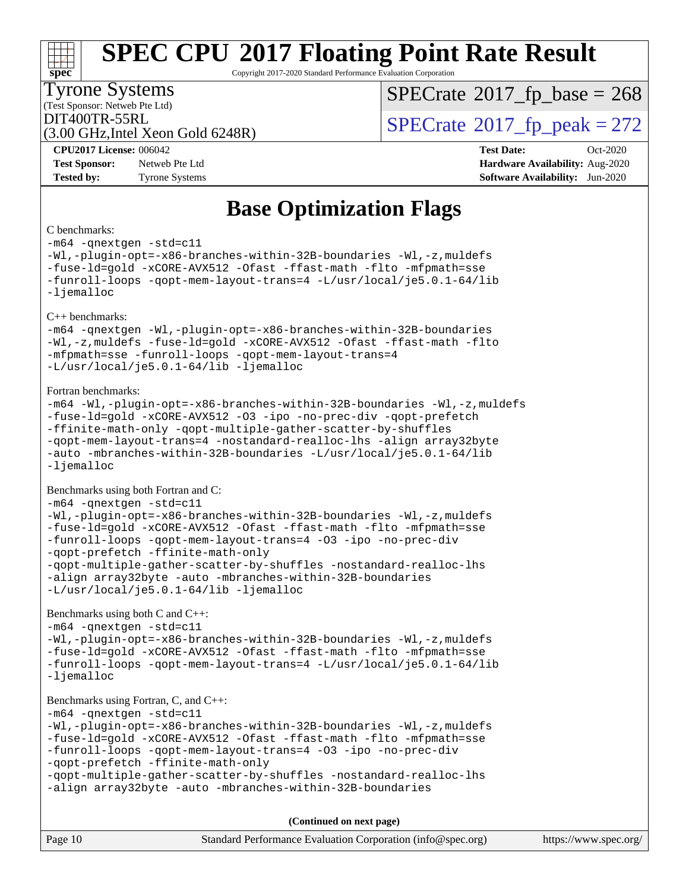#### **[SPEC CPU](http://www.spec.org/auto/cpu2017/Docs/result-fields.html#SPECCPU2017FloatingPointRateResult)[2017 Floating Point Rate Result](http://www.spec.org/auto/cpu2017/Docs/result-fields.html#SPECCPU2017FloatingPointRateResult)**  $+\ +$ **[spec](http://www.spec.org/)** Copyright 2017-2020 Standard Performance Evaluation Corporation Tyrone Systems  $SPECTate$ <sup>®</sup>[2017\\_fp\\_base =](http://www.spec.org/auto/cpu2017/Docs/result-fields.html#SPECrate2017fpbase) 268 (Test Sponsor: Netweb Pte Ltd)  $\text{DIT400TR-55RL}$ <br>(3.00 GHz Intel Xeon Gold 6248R)  $\text{SPECrate}$  $\text{SPECrate}$  $\text{SPECrate}$ <sup>®</sup>[2017\\_fp\\_peak = 2](http://www.spec.org/auto/cpu2017/Docs/result-fields.html#SPECrate2017fppeak)72 (3.00 GHz,Intel Xeon Gold 6248R) **[CPU2017 License:](http://www.spec.org/auto/cpu2017/Docs/result-fields.html#CPU2017License)** 006042 **[Test Date:](http://www.spec.org/auto/cpu2017/Docs/result-fields.html#TestDate)** Oct-2020 **[Test Sponsor:](http://www.spec.org/auto/cpu2017/Docs/result-fields.html#TestSponsor)** Netweb Pte Ltd **[Hardware Availability:](http://www.spec.org/auto/cpu2017/Docs/result-fields.html#HardwareAvailability)** Aug-2020 **[Tested by:](http://www.spec.org/auto/cpu2017/Docs/result-fields.html#Testedby)** Tyrone Systems **[Software Availability:](http://www.spec.org/auto/cpu2017/Docs/result-fields.html#SoftwareAvailability)** Jun-2020 **[Base Optimization Flags](http://www.spec.org/auto/cpu2017/Docs/result-fields.html#BaseOptimizationFlags)** [C benchmarks](http://www.spec.org/auto/cpu2017/Docs/result-fields.html#Cbenchmarks): [-m64](http://www.spec.org/cpu2017/results/res2020q4/cpu2017-20201012-24148.flags.html#user_CCbase_m64-icc) [-qnextgen](http://www.spec.org/cpu2017/results/res2020q4/cpu2017-20201012-24148.flags.html#user_CCbase_f-qnextgen) [-std=c11](http://www.spec.org/cpu2017/results/res2020q4/cpu2017-20201012-24148.flags.html#user_CCbase_std-icc-std_0e1c27790398a4642dfca32ffe6c27b5796f9c2d2676156f2e42c9c44eaad0c049b1cdb667a270c34d979996257aeb8fc440bfb01818dbc9357bd9d174cb8524) [-Wl,-plugin-opt=-x86-branches-within-32B-boundaries](http://www.spec.org/cpu2017/results/res2020q4/cpu2017-20201012-24148.flags.html#user_CCbase_f-x86-branches-within-32B-boundaries_0098b4e4317ae60947b7b728078a624952a08ac37a3c797dfb4ffeb399e0c61a9dd0f2f44ce917e9361fb9076ccb15e7824594512dd315205382d84209e912f3) [-Wl,-z,muldefs](http://www.spec.org/cpu2017/results/res2020q4/cpu2017-20201012-24148.flags.html#user_CCbase_link_force_multiple1_b4cbdb97b34bdee9ceefcfe54f4c8ea74255f0b02a4b23e853cdb0e18eb4525ac79b5a88067c842dd0ee6996c24547a27a4b99331201badda8798ef8a743f577) [-fuse-ld=gold](http://www.spec.org/cpu2017/results/res2020q4/cpu2017-20201012-24148.flags.html#user_CCbase_f-fuse-ld_920b3586e2b8c6e0748b9c84fa9b744736ba725a32cab14ad8f3d4ad28eecb2f59d1144823d2e17006539a88734fe1fc08fc3035f7676166309105a78aaabc32) [-xCORE-AVX512](http://www.spec.org/cpu2017/results/res2020q4/cpu2017-20201012-24148.flags.html#user_CCbase_f-xCORE-AVX512) [-Ofast](http://www.spec.org/cpu2017/results/res2020q4/cpu2017-20201012-24148.flags.html#user_CCbase_f-Ofast) [-ffast-math](http://www.spec.org/cpu2017/results/res2020q4/cpu2017-20201012-24148.flags.html#user_CCbase_f-ffast-math) [-flto](http://www.spec.org/cpu2017/results/res2020q4/cpu2017-20201012-24148.flags.html#user_CCbase_f-flto) [-mfpmath=sse](http://www.spec.org/cpu2017/results/res2020q4/cpu2017-20201012-24148.flags.html#user_CCbase_f-mfpmath_70eb8fac26bde974f8ab713bc9086c5621c0b8d2f6c86f38af0bd7062540daf19db5f3a066d8c6684be05d84c9b6322eb3b5be6619d967835195b93d6c02afa1) [-funroll-loops](http://www.spec.org/cpu2017/results/res2020q4/cpu2017-20201012-24148.flags.html#user_CCbase_f-funroll-loops) [-qopt-mem-layout-trans=4](http://www.spec.org/cpu2017/results/res2020q4/cpu2017-20201012-24148.flags.html#user_CCbase_f-qopt-mem-layout-trans_fa39e755916c150a61361b7846f310bcdf6f04e385ef281cadf3647acec3f0ae266d1a1d22d972a7087a248fd4e6ca390a3634700869573d231a252c784941a8) [-L/usr/local/je5.0.1-64/lib](http://www.spec.org/cpu2017/results/res2020q4/cpu2017-20201012-24148.flags.html#user_CCbase_jemalloc_link_path64_4b10a636b7bce113509b17f3bd0d6226c5fb2346b9178c2d0232c14f04ab830f976640479e5c33dc2bcbbdad86ecfb6634cbbd4418746f06f368b512fced5394) [-ljemalloc](http://www.spec.org/cpu2017/results/res2020q4/cpu2017-20201012-24148.flags.html#user_CCbase_jemalloc_link_lib_d1249b907c500fa1c0672f44f562e3d0f79738ae9e3c4a9c376d49f265a04b9c99b167ecedbf6711b3085be911c67ff61f150a17b3472be731631ba4d0471706) [C++ benchmarks](http://www.spec.org/auto/cpu2017/Docs/result-fields.html#CXXbenchmarks): [-m64](http://www.spec.org/cpu2017/results/res2020q4/cpu2017-20201012-24148.flags.html#user_CXXbase_m64-icc) [-qnextgen](http://www.spec.org/cpu2017/results/res2020q4/cpu2017-20201012-24148.flags.html#user_CXXbase_f-qnextgen) [-Wl,-plugin-opt=-x86-branches-within-32B-boundaries](http://www.spec.org/cpu2017/results/res2020q4/cpu2017-20201012-24148.flags.html#user_CXXbase_f-x86-branches-within-32B-boundaries_0098b4e4317ae60947b7b728078a624952a08ac37a3c797dfb4ffeb399e0c61a9dd0f2f44ce917e9361fb9076ccb15e7824594512dd315205382d84209e912f3) [-Wl,-z,muldefs](http://www.spec.org/cpu2017/results/res2020q4/cpu2017-20201012-24148.flags.html#user_CXXbase_link_force_multiple1_b4cbdb97b34bdee9ceefcfe54f4c8ea74255f0b02a4b23e853cdb0e18eb4525ac79b5a88067c842dd0ee6996c24547a27a4b99331201badda8798ef8a743f577) [-fuse-ld=gold](http://www.spec.org/cpu2017/results/res2020q4/cpu2017-20201012-24148.flags.html#user_CXXbase_f-fuse-ld_920b3586e2b8c6e0748b9c84fa9b744736ba725a32cab14ad8f3d4ad28eecb2f59d1144823d2e17006539a88734fe1fc08fc3035f7676166309105a78aaabc32) [-xCORE-AVX512](http://www.spec.org/cpu2017/results/res2020q4/cpu2017-20201012-24148.flags.html#user_CXXbase_f-xCORE-AVX512) [-Ofast](http://www.spec.org/cpu2017/results/res2020q4/cpu2017-20201012-24148.flags.html#user_CXXbase_f-Ofast) [-ffast-math](http://www.spec.org/cpu2017/results/res2020q4/cpu2017-20201012-24148.flags.html#user_CXXbase_f-ffast-math) [-flto](http://www.spec.org/cpu2017/results/res2020q4/cpu2017-20201012-24148.flags.html#user_CXXbase_f-flto) [-mfpmath=sse](http://www.spec.org/cpu2017/results/res2020q4/cpu2017-20201012-24148.flags.html#user_CXXbase_f-mfpmath_70eb8fac26bde974f8ab713bc9086c5621c0b8d2f6c86f38af0bd7062540daf19db5f3a066d8c6684be05d84c9b6322eb3b5be6619d967835195b93d6c02afa1) [-funroll-loops](http://www.spec.org/cpu2017/results/res2020q4/cpu2017-20201012-24148.flags.html#user_CXXbase_f-funroll-loops) [-qopt-mem-layout-trans=4](http://www.spec.org/cpu2017/results/res2020q4/cpu2017-20201012-24148.flags.html#user_CXXbase_f-qopt-mem-layout-trans_fa39e755916c150a61361b7846f310bcdf6f04e385ef281cadf3647acec3f0ae266d1a1d22d972a7087a248fd4e6ca390a3634700869573d231a252c784941a8) [-L/usr/local/je5.0.1-64/lib](http://www.spec.org/cpu2017/results/res2020q4/cpu2017-20201012-24148.flags.html#user_CXXbase_jemalloc_link_path64_4b10a636b7bce113509b17f3bd0d6226c5fb2346b9178c2d0232c14f04ab830f976640479e5c33dc2bcbbdad86ecfb6634cbbd4418746f06f368b512fced5394) [-ljemalloc](http://www.spec.org/cpu2017/results/res2020q4/cpu2017-20201012-24148.flags.html#user_CXXbase_jemalloc_link_lib_d1249b907c500fa1c0672f44f562e3d0f79738ae9e3c4a9c376d49f265a04b9c99b167ecedbf6711b3085be911c67ff61f150a17b3472be731631ba4d0471706) [Fortran benchmarks:](http://www.spec.org/auto/cpu2017/Docs/result-fields.html#Fortranbenchmarks) [-m64](http://www.spec.org/cpu2017/results/res2020q4/cpu2017-20201012-24148.flags.html#user_FCbase_m64-icc) [-Wl,-plugin-opt=-x86-branches-within-32B-boundaries](http://www.spec.org/cpu2017/results/res2020q4/cpu2017-20201012-24148.flags.html#user_FCbase_f-x86-branches-within-32B-boundaries_0098b4e4317ae60947b7b728078a624952a08ac37a3c797dfb4ffeb399e0c61a9dd0f2f44ce917e9361fb9076ccb15e7824594512dd315205382d84209e912f3) [-Wl,-z,muldefs](http://www.spec.org/cpu2017/results/res2020q4/cpu2017-20201012-24148.flags.html#user_FCbase_link_force_multiple1_b4cbdb97b34bdee9ceefcfe54f4c8ea74255f0b02a4b23e853cdb0e18eb4525ac79b5a88067c842dd0ee6996c24547a27a4b99331201badda8798ef8a743f577) [-fuse-ld=gold](http://www.spec.org/cpu2017/results/res2020q4/cpu2017-20201012-24148.flags.html#user_FCbase_f-fuse-ld_920b3586e2b8c6e0748b9c84fa9b744736ba725a32cab14ad8f3d4ad28eecb2f59d1144823d2e17006539a88734fe1fc08fc3035f7676166309105a78aaabc32) [-xCORE-AVX512](http://www.spec.org/cpu2017/results/res2020q4/cpu2017-20201012-24148.flags.html#user_FCbase_f-xCORE-AVX512) [-O3](http://www.spec.org/cpu2017/results/res2020q4/cpu2017-20201012-24148.flags.html#user_FCbase_f-O3) [-ipo](http://www.spec.org/cpu2017/results/res2020q4/cpu2017-20201012-24148.flags.html#user_FCbase_f-ipo) [-no-prec-div](http://www.spec.org/cpu2017/results/res2020q4/cpu2017-20201012-24148.flags.html#user_FCbase_f-no-prec-div) [-qopt-prefetch](http://www.spec.org/cpu2017/results/res2020q4/cpu2017-20201012-24148.flags.html#user_FCbase_f-qopt-prefetch) [-ffinite-math-only](http://www.spec.org/cpu2017/results/res2020q4/cpu2017-20201012-24148.flags.html#user_FCbase_f_finite_math_only_cb91587bd2077682c4b38af759c288ed7c732db004271a9512da14a4f8007909a5f1427ecbf1a0fb78ff2a814402c6114ac565ca162485bbcae155b5e4258871) [-qopt-multiple-gather-scatter-by-shuffles](http://www.spec.org/cpu2017/results/res2020q4/cpu2017-20201012-24148.flags.html#user_FCbase_f-qopt-multiple-gather-scatter-by-shuffles) [-qopt-mem-layout-trans=4](http://www.spec.org/cpu2017/results/res2020q4/cpu2017-20201012-24148.flags.html#user_FCbase_f-qopt-mem-layout-trans_fa39e755916c150a61361b7846f310bcdf6f04e385ef281cadf3647acec3f0ae266d1a1d22d972a7087a248fd4e6ca390a3634700869573d231a252c784941a8) [-nostandard-realloc-lhs](http://www.spec.org/cpu2017/results/res2020q4/cpu2017-20201012-24148.flags.html#user_FCbase_f_2003_std_realloc_82b4557e90729c0f113870c07e44d33d6f5a304b4f63d4c15d2d0f1fab99f5daaed73bdb9275d9ae411527f28b936061aa8b9c8f2d63842963b95c9dd6426b8a) [-align array32byte](http://www.spec.org/cpu2017/results/res2020q4/cpu2017-20201012-24148.flags.html#user_FCbase_align_array32byte_b982fe038af199962ba9a80c053b8342c548c85b40b8e86eb3cc33dee0d7986a4af373ac2d51c3f7cf710a18d62fdce2948f201cd044323541f22fc0fffc51b6) [-auto](http://www.spec.org/cpu2017/results/res2020q4/cpu2017-20201012-24148.flags.html#user_FCbase_f-auto) [-mbranches-within-32B-boundaries](http://www.spec.org/cpu2017/results/res2020q4/cpu2017-20201012-24148.flags.html#user_FCbase_f-mbranches-within-32B-boundaries) [-L/usr/local/je5.0.1-64/lib](http://www.spec.org/cpu2017/results/res2020q4/cpu2017-20201012-24148.flags.html#user_FCbase_jemalloc_link_path64_4b10a636b7bce113509b17f3bd0d6226c5fb2346b9178c2d0232c14f04ab830f976640479e5c33dc2bcbbdad86ecfb6634cbbd4418746f06f368b512fced5394) [-ljemalloc](http://www.spec.org/cpu2017/results/res2020q4/cpu2017-20201012-24148.flags.html#user_FCbase_jemalloc_link_lib_d1249b907c500fa1c0672f44f562e3d0f79738ae9e3c4a9c376d49f265a04b9c99b167ecedbf6711b3085be911c67ff61f150a17b3472be731631ba4d0471706) [Benchmarks using both Fortran and C](http://www.spec.org/auto/cpu2017/Docs/result-fields.html#BenchmarksusingbothFortranandC): [-m64](http://www.spec.org/cpu2017/results/res2020q4/cpu2017-20201012-24148.flags.html#user_CC_FCbase_m64-icc) [-qnextgen](http://www.spec.org/cpu2017/results/res2020q4/cpu2017-20201012-24148.flags.html#user_CC_FCbase_f-qnextgen) [-std=c11](http://www.spec.org/cpu2017/results/res2020q4/cpu2017-20201012-24148.flags.html#user_CC_FCbase_std-icc-std_0e1c27790398a4642dfca32ffe6c27b5796f9c2d2676156f2e42c9c44eaad0c049b1cdb667a270c34d979996257aeb8fc440bfb01818dbc9357bd9d174cb8524) [-Wl,-plugin-opt=-x86-branches-within-32B-boundaries](http://www.spec.org/cpu2017/results/res2020q4/cpu2017-20201012-24148.flags.html#user_CC_FCbase_f-x86-branches-within-32B-boundaries_0098b4e4317ae60947b7b728078a624952a08ac37a3c797dfb4ffeb399e0c61a9dd0f2f44ce917e9361fb9076ccb15e7824594512dd315205382d84209e912f3) [-Wl,-z,muldefs](http://www.spec.org/cpu2017/results/res2020q4/cpu2017-20201012-24148.flags.html#user_CC_FCbase_link_force_multiple1_b4cbdb97b34bdee9ceefcfe54f4c8ea74255f0b02a4b23e853cdb0e18eb4525ac79b5a88067c842dd0ee6996c24547a27a4b99331201badda8798ef8a743f577) [-fuse-ld=gold](http://www.spec.org/cpu2017/results/res2020q4/cpu2017-20201012-24148.flags.html#user_CC_FCbase_f-fuse-ld_920b3586e2b8c6e0748b9c84fa9b744736ba725a32cab14ad8f3d4ad28eecb2f59d1144823d2e17006539a88734fe1fc08fc3035f7676166309105a78aaabc32) [-xCORE-AVX512](http://www.spec.org/cpu2017/results/res2020q4/cpu2017-20201012-24148.flags.html#user_CC_FCbase_f-xCORE-AVX512) [-Ofast](http://www.spec.org/cpu2017/results/res2020q4/cpu2017-20201012-24148.flags.html#user_CC_FCbase_f-Ofast) [-ffast-math](http://www.spec.org/cpu2017/results/res2020q4/cpu2017-20201012-24148.flags.html#user_CC_FCbase_f-ffast-math) [-flto](http://www.spec.org/cpu2017/results/res2020q4/cpu2017-20201012-24148.flags.html#user_CC_FCbase_f-flto) [-mfpmath=sse](http://www.spec.org/cpu2017/results/res2020q4/cpu2017-20201012-24148.flags.html#user_CC_FCbase_f-mfpmath_70eb8fac26bde974f8ab713bc9086c5621c0b8d2f6c86f38af0bd7062540daf19db5f3a066d8c6684be05d84c9b6322eb3b5be6619d967835195b93d6c02afa1) [-funroll-loops](http://www.spec.org/cpu2017/results/res2020q4/cpu2017-20201012-24148.flags.html#user_CC_FCbase_f-funroll-loops) [-qopt-mem-layout-trans=4](http://www.spec.org/cpu2017/results/res2020q4/cpu2017-20201012-24148.flags.html#user_CC_FCbase_f-qopt-mem-layout-trans_fa39e755916c150a61361b7846f310bcdf6f04e385ef281cadf3647acec3f0ae266d1a1d22d972a7087a248fd4e6ca390a3634700869573d231a252c784941a8) [-O3](http://www.spec.org/cpu2017/results/res2020q4/cpu2017-20201012-24148.flags.html#user_CC_FCbase_f-O3) [-ipo](http://www.spec.org/cpu2017/results/res2020q4/cpu2017-20201012-24148.flags.html#user_CC_FCbase_f-ipo) [-no-prec-div](http://www.spec.org/cpu2017/results/res2020q4/cpu2017-20201012-24148.flags.html#user_CC_FCbase_f-no-prec-div) [-qopt-prefetch](http://www.spec.org/cpu2017/results/res2020q4/cpu2017-20201012-24148.flags.html#user_CC_FCbase_f-qopt-prefetch) [-ffinite-math-only](http://www.spec.org/cpu2017/results/res2020q4/cpu2017-20201012-24148.flags.html#user_CC_FCbase_f_finite_math_only_cb91587bd2077682c4b38af759c288ed7c732db004271a9512da14a4f8007909a5f1427ecbf1a0fb78ff2a814402c6114ac565ca162485bbcae155b5e4258871) [-qopt-multiple-gather-scatter-by-shuffles](http://www.spec.org/cpu2017/results/res2020q4/cpu2017-20201012-24148.flags.html#user_CC_FCbase_f-qopt-multiple-gather-scatter-by-shuffles) [-nostandard-realloc-lhs](http://www.spec.org/cpu2017/results/res2020q4/cpu2017-20201012-24148.flags.html#user_CC_FCbase_f_2003_std_realloc_82b4557e90729c0f113870c07e44d33d6f5a304b4f63d4c15d2d0f1fab99f5daaed73bdb9275d9ae411527f28b936061aa8b9c8f2d63842963b95c9dd6426b8a) [-align array32byte](http://www.spec.org/cpu2017/results/res2020q4/cpu2017-20201012-24148.flags.html#user_CC_FCbase_align_array32byte_b982fe038af199962ba9a80c053b8342c548c85b40b8e86eb3cc33dee0d7986a4af373ac2d51c3f7cf710a18d62fdce2948f201cd044323541f22fc0fffc51b6) [-auto](http://www.spec.org/cpu2017/results/res2020q4/cpu2017-20201012-24148.flags.html#user_CC_FCbase_f-auto) [-mbranches-within-32B-boundaries](http://www.spec.org/cpu2017/results/res2020q4/cpu2017-20201012-24148.flags.html#user_CC_FCbase_f-mbranches-within-32B-boundaries) [-L/usr/local/je5.0.1-64/lib](http://www.spec.org/cpu2017/results/res2020q4/cpu2017-20201012-24148.flags.html#user_CC_FCbase_jemalloc_link_path64_4b10a636b7bce113509b17f3bd0d6226c5fb2346b9178c2d0232c14f04ab830f976640479e5c33dc2bcbbdad86ecfb6634cbbd4418746f06f368b512fced5394) [-ljemalloc](http://www.spec.org/cpu2017/results/res2020q4/cpu2017-20201012-24148.flags.html#user_CC_FCbase_jemalloc_link_lib_d1249b907c500fa1c0672f44f562e3d0f79738ae9e3c4a9c376d49f265a04b9c99b167ecedbf6711b3085be911c67ff61f150a17b3472be731631ba4d0471706) [Benchmarks using both C and C++:](http://www.spec.org/auto/cpu2017/Docs/result-fields.html#BenchmarksusingbothCandCXX) [-m64](http://www.spec.org/cpu2017/results/res2020q4/cpu2017-20201012-24148.flags.html#user_CC_CXXbase_m64-icc) [-qnextgen](http://www.spec.org/cpu2017/results/res2020q4/cpu2017-20201012-24148.flags.html#user_CC_CXXbase_f-qnextgen) [-std=c11](http://www.spec.org/cpu2017/results/res2020q4/cpu2017-20201012-24148.flags.html#user_CC_CXXbase_std-icc-std_0e1c27790398a4642dfca32ffe6c27b5796f9c2d2676156f2e42c9c44eaad0c049b1cdb667a270c34d979996257aeb8fc440bfb01818dbc9357bd9d174cb8524) [-Wl,-plugin-opt=-x86-branches-within-32B-boundaries](http://www.spec.org/cpu2017/results/res2020q4/cpu2017-20201012-24148.flags.html#user_CC_CXXbase_f-x86-branches-within-32B-boundaries_0098b4e4317ae60947b7b728078a624952a08ac37a3c797dfb4ffeb399e0c61a9dd0f2f44ce917e9361fb9076ccb15e7824594512dd315205382d84209e912f3) [-Wl,-z,muldefs](http://www.spec.org/cpu2017/results/res2020q4/cpu2017-20201012-24148.flags.html#user_CC_CXXbase_link_force_multiple1_b4cbdb97b34bdee9ceefcfe54f4c8ea74255f0b02a4b23e853cdb0e18eb4525ac79b5a88067c842dd0ee6996c24547a27a4b99331201badda8798ef8a743f577) [-fuse-ld=gold](http://www.spec.org/cpu2017/results/res2020q4/cpu2017-20201012-24148.flags.html#user_CC_CXXbase_f-fuse-ld_920b3586e2b8c6e0748b9c84fa9b744736ba725a32cab14ad8f3d4ad28eecb2f59d1144823d2e17006539a88734fe1fc08fc3035f7676166309105a78aaabc32) [-xCORE-AVX512](http://www.spec.org/cpu2017/results/res2020q4/cpu2017-20201012-24148.flags.html#user_CC_CXXbase_f-xCORE-AVX512) [-Ofast](http://www.spec.org/cpu2017/results/res2020q4/cpu2017-20201012-24148.flags.html#user_CC_CXXbase_f-Ofast) [-ffast-math](http://www.spec.org/cpu2017/results/res2020q4/cpu2017-20201012-24148.flags.html#user_CC_CXXbase_f-ffast-math) [-flto](http://www.spec.org/cpu2017/results/res2020q4/cpu2017-20201012-24148.flags.html#user_CC_CXXbase_f-flto) [-mfpmath=sse](http://www.spec.org/cpu2017/results/res2020q4/cpu2017-20201012-24148.flags.html#user_CC_CXXbase_f-mfpmath_70eb8fac26bde974f8ab713bc9086c5621c0b8d2f6c86f38af0bd7062540daf19db5f3a066d8c6684be05d84c9b6322eb3b5be6619d967835195b93d6c02afa1) [-funroll-loops](http://www.spec.org/cpu2017/results/res2020q4/cpu2017-20201012-24148.flags.html#user_CC_CXXbase_f-funroll-loops) [-qopt-mem-layout-trans=4](http://www.spec.org/cpu2017/results/res2020q4/cpu2017-20201012-24148.flags.html#user_CC_CXXbase_f-qopt-mem-layout-trans_fa39e755916c150a61361b7846f310bcdf6f04e385ef281cadf3647acec3f0ae266d1a1d22d972a7087a248fd4e6ca390a3634700869573d231a252c784941a8) [-L/usr/local/je5.0.1-64/lib](http://www.spec.org/cpu2017/results/res2020q4/cpu2017-20201012-24148.flags.html#user_CC_CXXbase_jemalloc_link_path64_4b10a636b7bce113509b17f3bd0d6226c5fb2346b9178c2d0232c14f04ab830f976640479e5c33dc2bcbbdad86ecfb6634cbbd4418746f06f368b512fced5394) [-ljemalloc](http://www.spec.org/cpu2017/results/res2020q4/cpu2017-20201012-24148.flags.html#user_CC_CXXbase_jemalloc_link_lib_d1249b907c500fa1c0672f44f562e3d0f79738ae9e3c4a9c376d49f265a04b9c99b167ecedbf6711b3085be911c67ff61f150a17b3472be731631ba4d0471706) [Benchmarks using Fortran, C, and C++](http://www.spec.org/auto/cpu2017/Docs/result-fields.html#BenchmarksusingFortranCandCXX): [-m64](http://www.spec.org/cpu2017/results/res2020q4/cpu2017-20201012-24148.flags.html#user_CC_CXX_FCbase_m64-icc) [-qnextgen](http://www.spec.org/cpu2017/results/res2020q4/cpu2017-20201012-24148.flags.html#user_CC_CXX_FCbase_f-qnextgen) [-std=c11](http://www.spec.org/cpu2017/results/res2020q4/cpu2017-20201012-24148.flags.html#user_CC_CXX_FCbase_std-icc-std_0e1c27790398a4642dfca32ffe6c27b5796f9c2d2676156f2e42c9c44eaad0c049b1cdb667a270c34d979996257aeb8fc440bfb01818dbc9357bd9d174cb8524) [-Wl,-plugin-opt=-x86-branches-within-32B-boundaries](http://www.spec.org/cpu2017/results/res2020q4/cpu2017-20201012-24148.flags.html#user_CC_CXX_FCbase_f-x86-branches-within-32B-boundaries_0098b4e4317ae60947b7b728078a624952a08ac37a3c797dfb4ffeb399e0c61a9dd0f2f44ce917e9361fb9076ccb15e7824594512dd315205382d84209e912f3) [-Wl,-z,muldefs](http://www.spec.org/cpu2017/results/res2020q4/cpu2017-20201012-24148.flags.html#user_CC_CXX_FCbase_link_force_multiple1_b4cbdb97b34bdee9ceefcfe54f4c8ea74255f0b02a4b23e853cdb0e18eb4525ac79b5a88067c842dd0ee6996c24547a27a4b99331201badda8798ef8a743f577) [-fuse-ld=gold](http://www.spec.org/cpu2017/results/res2020q4/cpu2017-20201012-24148.flags.html#user_CC_CXX_FCbase_f-fuse-ld_920b3586e2b8c6e0748b9c84fa9b744736ba725a32cab14ad8f3d4ad28eecb2f59d1144823d2e17006539a88734fe1fc08fc3035f7676166309105a78aaabc32) [-xCORE-AVX512](http://www.spec.org/cpu2017/results/res2020q4/cpu2017-20201012-24148.flags.html#user_CC_CXX_FCbase_f-xCORE-AVX512) [-Ofast](http://www.spec.org/cpu2017/results/res2020q4/cpu2017-20201012-24148.flags.html#user_CC_CXX_FCbase_f-Ofast) [-ffast-math](http://www.spec.org/cpu2017/results/res2020q4/cpu2017-20201012-24148.flags.html#user_CC_CXX_FCbase_f-ffast-math) [-flto](http://www.spec.org/cpu2017/results/res2020q4/cpu2017-20201012-24148.flags.html#user_CC_CXX_FCbase_f-flto) [-mfpmath=sse](http://www.spec.org/cpu2017/results/res2020q4/cpu2017-20201012-24148.flags.html#user_CC_CXX_FCbase_f-mfpmath_70eb8fac26bde974f8ab713bc9086c5621c0b8d2f6c86f38af0bd7062540daf19db5f3a066d8c6684be05d84c9b6322eb3b5be6619d967835195b93d6c02afa1)

[-funroll-loops](http://www.spec.org/cpu2017/results/res2020q4/cpu2017-20201012-24148.flags.html#user_CC_CXX_FCbase_f-funroll-loops) [-qopt-mem-layout-trans=4](http://www.spec.org/cpu2017/results/res2020q4/cpu2017-20201012-24148.flags.html#user_CC_CXX_FCbase_f-qopt-mem-layout-trans_fa39e755916c150a61361b7846f310bcdf6f04e385ef281cadf3647acec3f0ae266d1a1d22d972a7087a248fd4e6ca390a3634700869573d231a252c784941a8) [-O3](http://www.spec.org/cpu2017/results/res2020q4/cpu2017-20201012-24148.flags.html#user_CC_CXX_FCbase_f-O3) [-ipo](http://www.spec.org/cpu2017/results/res2020q4/cpu2017-20201012-24148.flags.html#user_CC_CXX_FCbase_f-ipo) [-no-prec-div](http://www.spec.org/cpu2017/results/res2020q4/cpu2017-20201012-24148.flags.html#user_CC_CXX_FCbase_f-no-prec-div)

[-qopt-prefetch](http://www.spec.org/cpu2017/results/res2020q4/cpu2017-20201012-24148.flags.html#user_CC_CXX_FCbase_f-qopt-prefetch) [-ffinite-math-only](http://www.spec.org/cpu2017/results/res2020q4/cpu2017-20201012-24148.flags.html#user_CC_CXX_FCbase_f_finite_math_only_cb91587bd2077682c4b38af759c288ed7c732db004271a9512da14a4f8007909a5f1427ecbf1a0fb78ff2a814402c6114ac565ca162485bbcae155b5e4258871)

[-qopt-multiple-gather-scatter-by-shuffles](http://www.spec.org/cpu2017/results/res2020q4/cpu2017-20201012-24148.flags.html#user_CC_CXX_FCbase_f-qopt-multiple-gather-scatter-by-shuffles) [-nostandard-realloc-lhs](http://www.spec.org/cpu2017/results/res2020q4/cpu2017-20201012-24148.flags.html#user_CC_CXX_FCbase_f_2003_std_realloc_82b4557e90729c0f113870c07e44d33d6f5a304b4f63d4c15d2d0f1fab99f5daaed73bdb9275d9ae411527f28b936061aa8b9c8f2d63842963b95c9dd6426b8a) [-align array32byte](http://www.spec.org/cpu2017/results/res2020q4/cpu2017-20201012-24148.flags.html#user_CC_CXX_FCbase_align_array32byte_b982fe038af199962ba9a80c053b8342c548c85b40b8e86eb3cc33dee0d7986a4af373ac2d51c3f7cf710a18d62fdce2948f201cd044323541f22fc0fffc51b6) [-auto](http://www.spec.org/cpu2017/results/res2020q4/cpu2017-20201012-24148.flags.html#user_CC_CXX_FCbase_f-auto) [-mbranches-within-32B-boundaries](http://www.spec.org/cpu2017/results/res2020q4/cpu2017-20201012-24148.flags.html#user_CC_CXX_FCbase_f-mbranches-within-32B-boundaries)

**(Continued on next page)**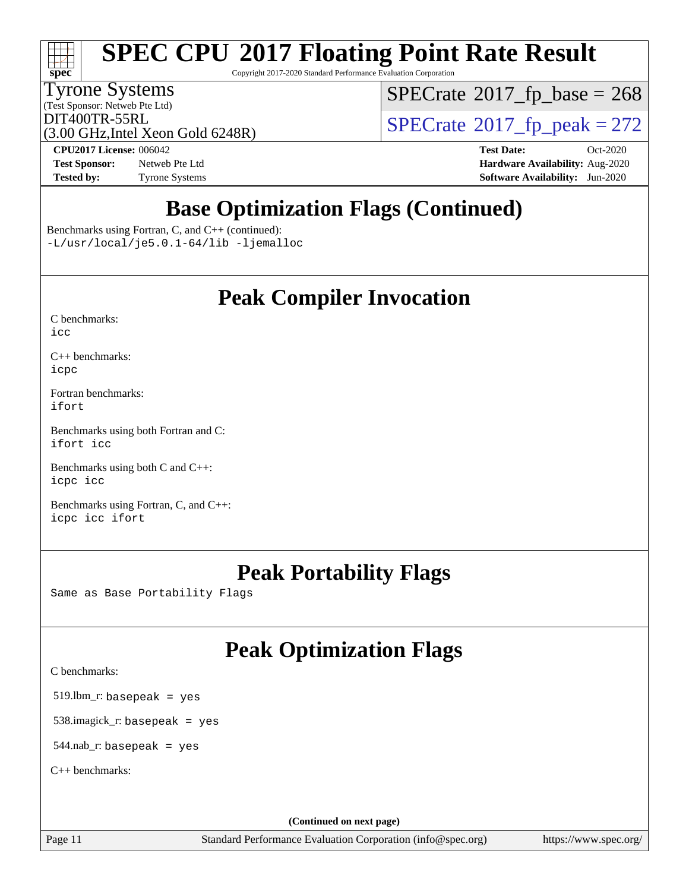# **[spec](http://www.spec.org/)**

# **[SPEC CPU](http://www.spec.org/auto/cpu2017/Docs/result-fields.html#SPECCPU2017FloatingPointRateResult)[2017 Floating Point Rate Result](http://www.spec.org/auto/cpu2017/Docs/result-fields.html#SPECCPU2017FloatingPointRateResult)**

Copyright 2017-2020 Standard Performance Evaluation Corporation

### Tyrone Systems

(Test Sponsor: Netweb Pte Ltd)

 $SPECTate$ <sup>®</sup>[2017\\_fp\\_base =](http://www.spec.org/auto/cpu2017/Docs/result-fields.html#SPECrate2017fpbase) 268

(3.00 GHz,Intel Xeon Gold 6248R)

 $\text{DIT400TR-55RL}$ <br>(3.00 GHz Intel Xeon Gold 6248R)  $\text{SPECrate}$  $\text{SPECrate}$  $\text{SPECrate}$ <sup>®</sup>[2017\\_fp\\_peak = 2](http://www.spec.org/auto/cpu2017/Docs/result-fields.html#SPECrate2017fppeak)72

**[Test Sponsor:](http://www.spec.org/auto/cpu2017/Docs/result-fields.html#TestSponsor)** Netweb Pte Ltd **[Hardware Availability:](http://www.spec.org/auto/cpu2017/Docs/result-fields.html#HardwareAvailability)** Aug-2020 **[Tested by:](http://www.spec.org/auto/cpu2017/Docs/result-fields.html#Testedby)** Tyrone Systems **[Software Availability:](http://www.spec.org/auto/cpu2017/Docs/result-fields.html#SoftwareAvailability)** Jun-2020

**[CPU2017 License:](http://www.spec.org/auto/cpu2017/Docs/result-fields.html#CPU2017License)** 006042 **[Test Date:](http://www.spec.org/auto/cpu2017/Docs/result-fields.html#TestDate)** Oct-2020

## **[Base Optimization Flags \(Continued\)](http://www.spec.org/auto/cpu2017/Docs/result-fields.html#BaseOptimizationFlags)**

[Benchmarks using Fortran, C, and C++](http://www.spec.org/auto/cpu2017/Docs/result-fields.html#BenchmarksusingFortranCandCXX) (continued): [-L/usr/local/je5.0.1-64/lib](http://www.spec.org/cpu2017/results/res2020q4/cpu2017-20201012-24148.flags.html#user_CC_CXX_FCbase_jemalloc_link_path64_4b10a636b7bce113509b17f3bd0d6226c5fb2346b9178c2d0232c14f04ab830f976640479e5c33dc2bcbbdad86ecfb6634cbbd4418746f06f368b512fced5394) [-ljemalloc](http://www.spec.org/cpu2017/results/res2020q4/cpu2017-20201012-24148.flags.html#user_CC_CXX_FCbase_jemalloc_link_lib_d1249b907c500fa1c0672f44f562e3d0f79738ae9e3c4a9c376d49f265a04b9c99b167ecedbf6711b3085be911c67ff61f150a17b3472be731631ba4d0471706)

### **[Peak Compiler Invocation](http://www.spec.org/auto/cpu2017/Docs/result-fields.html#PeakCompilerInvocation)**

| C benchmarks: |  |
|---------------|--|
| icc           |  |

[C++ benchmarks:](http://www.spec.org/auto/cpu2017/Docs/result-fields.html#CXXbenchmarks) [icpc](http://www.spec.org/cpu2017/results/res2020q4/cpu2017-20201012-24148.flags.html#user_CXXpeak_intel_icpc_c510b6838c7f56d33e37e94d029a35b4a7bccf4766a728ee175e80a419847e808290a9b78be685c44ab727ea267ec2f070ec5dc83b407c0218cded6866a35d07)

[Fortran benchmarks](http://www.spec.org/auto/cpu2017/Docs/result-fields.html#Fortranbenchmarks): [ifort](http://www.spec.org/cpu2017/results/res2020q4/cpu2017-20201012-24148.flags.html#user_FCpeak_intel_ifort_8111460550e3ca792625aed983ce982f94888b8b503583aa7ba2b8303487b4d8a21a13e7191a45c5fd58ff318f48f9492884d4413fa793fd88dd292cad7027ca)

[Benchmarks using both Fortran and C](http://www.spec.org/auto/cpu2017/Docs/result-fields.html#BenchmarksusingbothFortranandC): [ifort](http://www.spec.org/cpu2017/results/res2020q4/cpu2017-20201012-24148.flags.html#user_CC_FCpeak_intel_ifort_8111460550e3ca792625aed983ce982f94888b8b503583aa7ba2b8303487b4d8a21a13e7191a45c5fd58ff318f48f9492884d4413fa793fd88dd292cad7027ca) [icc](http://www.spec.org/cpu2017/results/res2020q4/cpu2017-20201012-24148.flags.html#user_CC_FCpeak_intel_icc_66fc1ee009f7361af1fbd72ca7dcefbb700085f36577c54f309893dd4ec40d12360134090235512931783d35fd58c0460139e722d5067c5574d8eaf2b3e37e92)

[Benchmarks using both C and C++](http://www.spec.org/auto/cpu2017/Docs/result-fields.html#BenchmarksusingbothCandCXX): [icpc](http://www.spec.org/cpu2017/results/res2020q4/cpu2017-20201012-24148.flags.html#user_CC_CXXpeak_intel_icpc_c510b6838c7f56d33e37e94d029a35b4a7bccf4766a728ee175e80a419847e808290a9b78be685c44ab727ea267ec2f070ec5dc83b407c0218cded6866a35d07) [icc](http://www.spec.org/cpu2017/results/res2020q4/cpu2017-20201012-24148.flags.html#user_CC_CXXpeak_intel_icc_66fc1ee009f7361af1fbd72ca7dcefbb700085f36577c54f309893dd4ec40d12360134090235512931783d35fd58c0460139e722d5067c5574d8eaf2b3e37e92)

[Benchmarks using Fortran, C, and C++:](http://www.spec.org/auto/cpu2017/Docs/result-fields.html#BenchmarksusingFortranCandCXX) [icpc](http://www.spec.org/cpu2017/results/res2020q4/cpu2017-20201012-24148.flags.html#user_CC_CXX_FCpeak_intel_icpc_c510b6838c7f56d33e37e94d029a35b4a7bccf4766a728ee175e80a419847e808290a9b78be685c44ab727ea267ec2f070ec5dc83b407c0218cded6866a35d07) [icc](http://www.spec.org/cpu2017/results/res2020q4/cpu2017-20201012-24148.flags.html#user_CC_CXX_FCpeak_intel_icc_66fc1ee009f7361af1fbd72ca7dcefbb700085f36577c54f309893dd4ec40d12360134090235512931783d35fd58c0460139e722d5067c5574d8eaf2b3e37e92) [ifort](http://www.spec.org/cpu2017/results/res2020q4/cpu2017-20201012-24148.flags.html#user_CC_CXX_FCpeak_intel_ifort_8111460550e3ca792625aed983ce982f94888b8b503583aa7ba2b8303487b4d8a21a13e7191a45c5fd58ff318f48f9492884d4413fa793fd88dd292cad7027ca)

## **[Peak Portability Flags](http://www.spec.org/auto/cpu2017/Docs/result-fields.html#PeakPortabilityFlags)**

Same as Base Portability Flags

## **[Peak Optimization Flags](http://www.spec.org/auto/cpu2017/Docs/result-fields.html#PeakOptimizationFlags)**

[C benchmarks](http://www.spec.org/auto/cpu2017/Docs/result-fields.html#Cbenchmarks):

519.lbm\_r: basepeak = yes

538.imagick\_r: basepeak = yes

544.nab\_r: basepeak = yes

[C++ benchmarks:](http://www.spec.org/auto/cpu2017/Docs/result-fields.html#CXXbenchmarks)

**(Continued on next page)**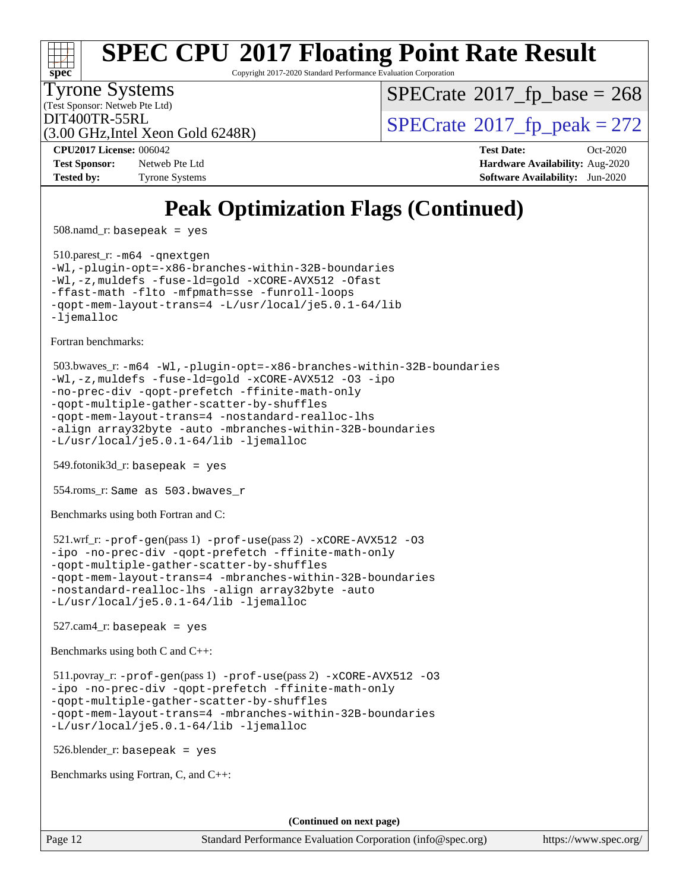

Copyright 2017-2020 Standard Performance Evaluation Corporation

(Test Sponsor: Netweb Pte Ltd) Tyrone Systems

 $SPECTate$ <sup>®</sup>[2017\\_fp\\_base =](http://www.spec.org/auto/cpu2017/Docs/result-fields.html#SPECrate2017fpbase) 268

(3.00 GHz,Intel Xeon Gold 6248R)

 $DIT400TR-55RL$ <br>(3.00 GHz Intel Xeon Gold 6248R) [SPECrate](http://www.spec.org/auto/cpu2017/Docs/result-fields.html#SPECrate2017fppeak)®[2017\\_fp\\_peak = 2](http://www.spec.org/auto/cpu2017/Docs/result-fields.html#SPECrate2017fppeak)72

**[Test Sponsor:](http://www.spec.org/auto/cpu2017/Docs/result-fields.html#TestSponsor)** Netweb Pte Ltd **[Hardware Availability:](http://www.spec.org/auto/cpu2017/Docs/result-fields.html#HardwareAvailability)** Aug-2020 **[Tested by:](http://www.spec.org/auto/cpu2017/Docs/result-fields.html#Testedby)** Tyrone Systems **[Software Availability:](http://www.spec.org/auto/cpu2017/Docs/result-fields.html#SoftwareAvailability)** Jun-2020

**[CPU2017 License:](http://www.spec.org/auto/cpu2017/Docs/result-fields.html#CPU2017License)** 006042 **[Test Date:](http://www.spec.org/auto/cpu2017/Docs/result-fields.html#TestDate)** Oct-2020

## **[Peak Optimization Flags \(Continued\)](http://www.spec.org/auto/cpu2017/Docs/result-fields.html#PeakOptimizationFlags)**

508.namd\_r: basepeak = yes

 510.parest\_r: [-m64](http://www.spec.org/cpu2017/results/res2020q4/cpu2017-20201012-24148.flags.html#user_peakCXXLD510_parest_r_m64-icc) [-qnextgen](http://www.spec.org/cpu2017/results/res2020q4/cpu2017-20201012-24148.flags.html#user_peakCXXLD510_parest_r_f-qnextgen) [-Wl,-plugin-opt=-x86-branches-within-32B-boundaries](http://www.spec.org/cpu2017/results/res2020q4/cpu2017-20201012-24148.flags.html#user_peakLDFLAGS510_parest_r_f-x86-branches-within-32B-boundaries_0098b4e4317ae60947b7b728078a624952a08ac37a3c797dfb4ffeb399e0c61a9dd0f2f44ce917e9361fb9076ccb15e7824594512dd315205382d84209e912f3) [-Wl,-z,muldefs](http://www.spec.org/cpu2017/results/res2020q4/cpu2017-20201012-24148.flags.html#user_peakEXTRA_LDFLAGS510_parest_r_link_force_multiple1_b4cbdb97b34bdee9ceefcfe54f4c8ea74255f0b02a4b23e853cdb0e18eb4525ac79b5a88067c842dd0ee6996c24547a27a4b99331201badda8798ef8a743f577) [-fuse-ld=gold](http://www.spec.org/cpu2017/results/res2020q4/cpu2017-20201012-24148.flags.html#user_peakEXTRA_LDFLAGS510_parest_r_f-fuse-ld_920b3586e2b8c6e0748b9c84fa9b744736ba725a32cab14ad8f3d4ad28eecb2f59d1144823d2e17006539a88734fe1fc08fc3035f7676166309105a78aaabc32) [-xCORE-AVX512](http://www.spec.org/cpu2017/results/res2020q4/cpu2017-20201012-24148.flags.html#user_peakCXXOPTIMIZE510_parest_r_f-xCORE-AVX512) [-Ofast](http://www.spec.org/cpu2017/results/res2020q4/cpu2017-20201012-24148.flags.html#user_peakCXXOPTIMIZE510_parest_r_f-Ofast) [-ffast-math](http://www.spec.org/cpu2017/results/res2020q4/cpu2017-20201012-24148.flags.html#user_peakCXXOPTIMIZE510_parest_r_f-ffast-math) [-flto](http://www.spec.org/cpu2017/results/res2020q4/cpu2017-20201012-24148.flags.html#user_peakCXXOPTIMIZE510_parest_r_f-flto) [-mfpmath=sse](http://www.spec.org/cpu2017/results/res2020q4/cpu2017-20201012-24148.flags.html#user_peakCXXOPTIMIZE510_parest_r_f-mfpmath_70eb8fac26bde974f8ab713bc9086c5621c0b8d2f6c86f38af0bd7062540daf19db5f3a066d8c6684be05d84c9b6322eb3b5be6619d967835195b93d6c02afa1) [-funroll-loops](http://www.spec.org/cpu2017/results/res2020q4/cpu2017-20201012-24148.flags.html#user_peakCXXOPTIMIZE510_parest_r_f-funroll-loops) [-qopt-mem-layout-trans=4](http://www.spec.org/cpu2017/results/res2020q4/cpu2017-20201012-24148.flags.html#user_peakCXXOPTIMIZE510_parest_r_f-qopt-mem-layout-trans_fa39e755916c150a61361b7846f310bcdf6f04e385ef281cadf3647acec3f0ae266d1a1d22d972a7087a248fd4e6ca390a3634700869573d231a252c784941a8) [-L/usr/local/je5.0.1-64/lib](http://www.spec.org/cpu2017/results/res2020q4/cpu2017-20201012-24148.flags.html#user_peakEXTRA_LIBS510_parest_r_jemalloc_link_path64_4b10a636b7bce113509b17f3bd0d6226c5fb2346b9178c2d0232c14f04ab830f976640479e5c33dc2bcbbdad86ecfb6634cbbd4418746f06f368b512fced5394) [-ljemalloc](http://www.spec.org/cpu2017/results/res2020q4/cpu2017-20201012-24148.flags.html#user_peakEXTRA_LIBS510_parest_r_jemalloc_link_lib_d1249b907c500fa1c0672f44f562e3d0f79738ae9e3c4a9c376d49f265a04b9c99b167ecedbf6711b3085be911c67ff61f150a17b3472be731631ba4d0471706)

[Fortran benchmarks](http://www.spec.org/auto/cpu2017/Docs/result-fields.html#Fortranbenchmarks):

```
 503.bwaves_r: -m64 -Wl,-plugin-opt=-x86-branches-within-32B-boundaries
-Wl,-z,muldefs -fuse-ld=gold -xCORE-AVX512 -O3 -ipo
-no-prec-div -qopt-prefetch -ffinite-math-only
-qopt-multiple-gather-scatter-by-shuffles
-qopt-mem-layout-trans=4 -nostandard-realloc-lhs
-align array32byte -auto -mbranches-within-32B-boundaries
-L/usr/local/je5.0.1-64/lib -ljemalloc
```
549.fotonik3d\_r: basepeak = yes

554.roms\_r: Same as 503.bwaves\_r

[Benchmarks using both Fortran and C](http://www.spec.org/auto/cpu2017/Docs/result-fields.html#BenchmarksusingbothFortranandC):

```
 521.wrf_r: -prof-gen(pass 1) -prof-use(pass 2) -xCORE-AVX512 -O3
-ipo -no-prec-div -qopt-prefetch -ffinite-math-only
-qopt-multiple-gather-scatter-by-shuffles
-qopt-mem-layout-trans=4 -mbranches-within-32B-boundaries
-nostandard-realloc-lhs -align array32byte -auto
-L/usr/local/je5.0.1-64/lib -ljemalloc
```
 $527$ .cam $4$ \_r: basepeak = yes

[Benchmarks using both C and C++](http://www.spec.org/auto/cpu2017/Docs/result-fields.html#BenchmarksusingbothCandCXX):

```
 511.povray_r: -prof-gen(pass 1) -prof-use(pass 2) -xCORE-AVX512 -O3
-ipo -no-prec-div -qopt-prefetch -ffinite-math-only
-qopt-multiple-gather-scatter-by-shuffles
-qopt-mem-layout-trans=4 -mbranches-within-32B-boundaries
-L/usr/local/je5.0.1-64/lib -ljemalloc
```
526.blender\_r: basepeak = yes

[Benchmarks using Fortran, C, and C++:](http://www.spec.org/auto/cpu2017/Docs/result-fields.html#BenchmarksusingFortranCandCXX)

**(Continued on next page)**